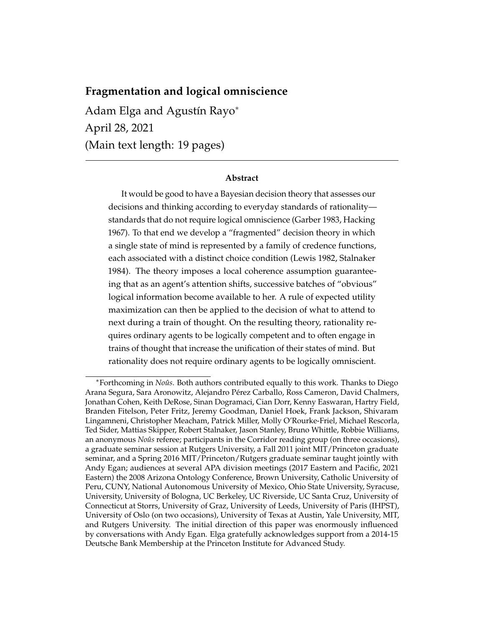# **Fragmentation and logical omniscience**

Adam Elga and Agustín Rayo<sup>\*</sup> April 28, 2021 (Main text length: 19 pages)

#### **Abstract**

It would be good to have a Bayesian decision theory that assesses our decisions and thinking according to everyday standards of rationality standards that do not require logical omniscience (Garber 1983, Hacking 1967). To that end we develop a "fragmented" decision theory in which a single state of mind is represented by a family of credence functions, each associated with a distinct choice condition (Lewis 1982, Stalnaker 1984). The theory imposes a local coherence assumption guaranteeing that as an agent's attention shifts, successive batches of "obvious" logical information become available to her. A rule of expected utility maximization can then be applied to the decision of what to attend to next during a train of thought. On the resulting theory, rationality requires ordinary agents to be logically competent and to often engage in trains of thought that increase the unification of their states of mind. But rationality does not require ordinary agents to be logically omniscient.

<sup>&</sup>lt;sup>∗</sup>Forthcoming in *Noûs*. Both authors contributed equally to this work. Thanks to Diego Arana Segura, Sara Aronowitz, Alejandro Pérez Carballo, Ross Cameron, David Chalmers, Jonathan Cohen, Keith DeRose, Sinan Dogramaci, Cian Dorr, Kenny Easwaran, Hartry Field, Branden Fitelson, Peter Fritz, Jeremy Goodman, Daniel Hoek, Frank Jackson, Shivaram Lingamneni, Christopher Meacham, Patrick Miller, Molly O'Rourke-Friel, Michael Rescorla, Ted Sider, Mattias Skipper, Robert Stalnaker, Jason Stanley, Bruno Whittle, Robbie Williams, an anonymous *Noûs* referee; participants in the Corridor reading group (on three occasions), a graduate seminar session at Rutgers University, a Fall 2011 joint MIT/Princeton graduate seminar, and a Spring 2016 MIT/Princeton/Rutgers graduate seminar taught jointly with Andy Egan; audiences at several APA division meetings (2017 Eastern and Pacific, 2021 Eastern) the 2008 Arizona Ontology Conference, Brown University, Catholic University of Peru, CUNY, National Autonomous University of Mexico, Ohio State University, Syracuse, University, University of Bologna, UC Berkeley, UC Riverside, UC Santa Cruz, University of Connecticut at Storrs, University of Graz, University of Leeds, University of Paris (IHPST), University of Oslo (on two occasions), University of Texas at Austin, Yale University, MIT, and Rutgers University. The initial direction of this paper was enormously influenced by conversations with Andy Egan. Elga gratefully acknowledges support from a 2014-15 Deutsche Bank Membership at the Princeton Institute for Advanced Study.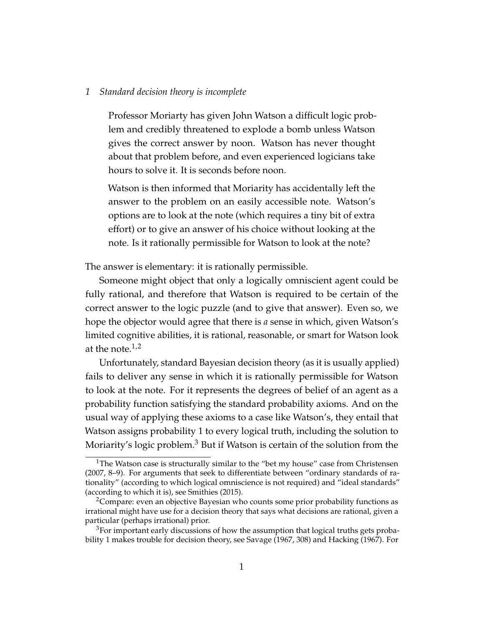#### *1 Standard decision theory is incomplete*

Professor Moriarty has given John Watson a difficult logic problem and credibly threatened to explode a bomb unless Watson gives the correct answer by noon. Watson has never thought about that problem before, and even experienced logicians take hours to solve it. It is seconds before noon.

Watson is then informed that Moriarity has accidentally left the answer to the problem on an easily accessible note. Watson's options are to look at the note (which requires a tiny bit of extra effort) or to give an answer of his choice without looking at the note. Is it rationally permissible for Watson to look at the note?

The answer is elementary: it is rationally permissible.

Someone might object that only a logically omniscient agent could be fully rational, and therefore that Watson is required to be certain of the correct answer to the logic puzzle (and to give that answer). Even so, we hope the objector would agree that there is *a* sense in which, given Watson's limited cognitive abilities, it is rational, reasonable, or smart for Watson look at the note. $1,2$ 

Unfortunately, standard Bayesian decision theory (as it is usually applied) fails to deliver any sense in which it is rationally permissible for Watson to look at the note. For it represents the degrees of belief of an agent as a probability function satisfying the standard probability axioms. And on the usual way of applying these axioms to a case like Watson's, they entail that Watson assigns probability 1 to every logical truth, including the solution to Moriarity's logic problem.<sup>3</sup> But if Watson is certain of the solution from the

<sup>&</sup>lt;sup>1</sup>The Watson case is structurally similar to the "bet my house" case from Christensen (2007, 8–9). For arguments that seek to differentiate between "ordinary standards of rationality" (according to which logical omniscience is not required) and "ideal standards" (according to which it is), see Smithies (2015).

<sup>&</sup>lt;sup>2</sup>Compare: even an objective Bayesian who counts some prior probability functions as irrational might have use for a decision theory that says what decisions are rational, given a particular (perhaps irrational) prior.

 $3$ For important early discussions of how the assumption that logical truths gets probability 1 makes trouble for decision theory, see Savage (1967, 308) and Hacking (1967). For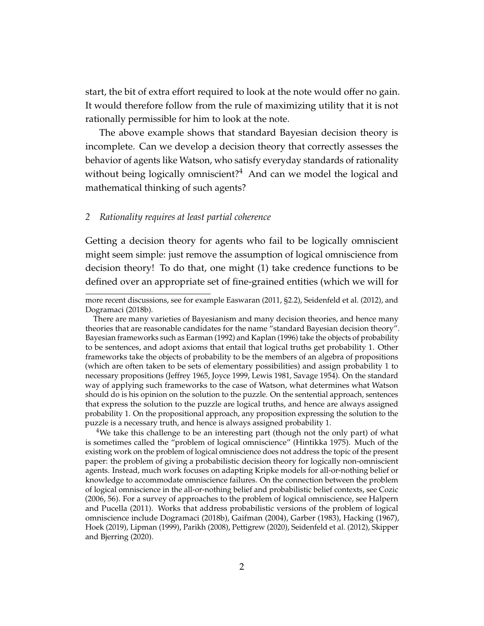start, the bit of extra effort required to look at the note would offer no gain. It would therefore follow from the rule of maximizing utility that it is not rationally permissible for him to look at the note.

The above example shows that standard Bayesian decision theory is incomplete. Can we develop a decision theory that correctly assesses the behavior of agents like Watson, who satisfy everyday standards of rationality without being logically omniscient? $4$  And can we model the logical and mathematical thinking of such agents?

## *2 Rationality requires at least partial coherence*

Getting a decision theory for agents who fail to be logically omniscient might seem simple: just remove the assumption of logical omniscience from decision theory! To do that, one might (1) take credence functions to be defined over an appropriate set of fine-grained entities (which we will for

<sup>4</sup>We take this challenge to be an interesting part (though not the only part) of what is sometimes called the "problem of logical omniscience" (Hintikka 1975). Much of the existing work on the problem of logical omniscience does not address the topic of the present paper: the problem of giving a probabilistic decision theory for logically non-omniscient agents. Instead, much work focuses on adapting Kripke models for all-or-nothing belief or knowledge to accommodate omniscience failures. On the connection between the problem of logical omniscience in the all-or-nothing belief and probabilistic belief contexts, see Cozic (2006, 56). For a survey of approaches to the problem of logical omniscience, see Halpern and Pucella (2011). Works that address probabilistic versions of the problem of logical omniscience include Dogramaci (2018b), Gaifman (2004), Garber (1983), Hacking (1967), Hoek (2019), Lipman (1999), Parikh (2008), Pettigrew (2020), Seidenfeld et al. (2012), Skipper and Bjerring (2020).

more recent discussions, see for example Easwaran (2011, §2.2), Seidenfeld et al. (2012), and Dogramaci (2018b).

There are many varieties of Bayesianism and many decision theories, and hence many theories that are reasonable candidates for the name "standard Bayesian decision theory". Bayesian frameworks such as Earman (1992) and Kaplan (1996) take the objects of probability to be sentences, and adopt axioms that entail that logical truths get probability 1. Other frameworks take the objects of probability to be the members of an algebra of propositions (which are often taken to be sets of elementary possibilities) and assign probability 1 to necessary propositions (Jeffrey 1965, Joyce 1999, Lewis 1981, Savage 1954). On the standard way of applying such frameworks to the case of Watson, what determines what Watson should do is his opinion on the solution to the puzzle. On the sentential approach, sentences that express the solution to the puzzle are logical truths, and hence are always assigned probability 1. On the propositional approach, any proposition expressing the solution to the puzzle is a necessary truth, and hence is always assigned probability 1.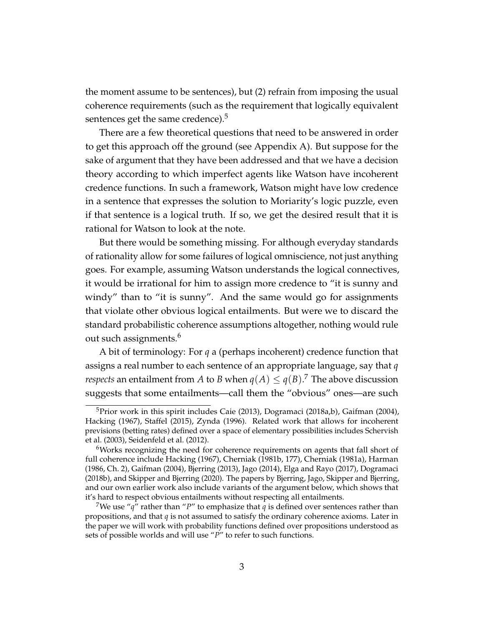the moment assume to be sentences), but (2) refrain from imposing the usual coherence requirements (such as the requirement that logically equivalent sentences get the same credence).<sup>5</sup>

There are a few theoretical questions that need to be answered in order to get this approach off the ground (see Appendix A). But suppose for the sake of argument that they have been addressed and that we have a decision theory according to which imperfect agents like Watson have incoherent credence functions. In such a framework, Watson might have low credence in a sentence that expresses the solution to Moriarity's logic puzzle, even if that sentence is a logical truth. If so, we get the desired result that it is rational for Watson to look at the note.

But there would be something missing. For although everyday standards of rationality allow for some failures of logical omniscience, not just anything goes. For example, assuming Watson understands the logical connectives, it would be irrational for him to assign more credence to "it is sunny and windy" than to "it is sunny". And the same would go for assignments that violate other obvious logical entailments. But were we to discard the standard probabilistic coherence assumptions altogether, nothing would rule out such assignments.<sup>6</sup>

A bit of terminology: For *q* a (perhaps incoherent) credence function that assigns a real number to each sentence of an appropriate language, say that *q respects* an entailment from  $A$  to  $B$  when  $q(A) \leq q(B).$   $\overline{A}$  The above discussion suggests that some entailments—call them the "obvious" ones—are such

<sup>&</sup>lt;sup>5</sup>Prior work in this spirit includes Caie (2013), Dogramaci (2018a,b), Gaifman (2004), Hacking (1967), Staffel (2015), Zynda (1996). Related work that allows for incoherent previsions (betting rates) defined over a space of elementary possibilities includes Schervish et al. (2003), Seidenfeld et al. (2012).

<sup>6</sup>Works recognizing the need for coherence requirements on agents that fall short of full coherence include Hacking (1967), Cherniak (1981b, 177), Cherniak (1981a), Harman (1986, Ch. 2), Gaifman (2004), Bjerring (2013), Jago (2014), Elga and Rayo (2017), Dogramaci (2018b), and Skipper and Bjerring (2020). The papers by Bjerring, Jago, Skipper and Bjerring, and our own earlier work also include variants of the argument below, which shows that it's hard to respect obvious entailments without respecting all entailments.

<sup>&</sup>lt;sup>7</sup>We use " $q$ " rather than "P" to emphasize that  $q$  is defined over sentences rather than propositions, and that *q* is not assumed to satisfy the ordinary coherence axioms. Later in the paper we will work with probability functions defined over propositions understood as sets of possible worlds and will use "*P*" to refer to such functions.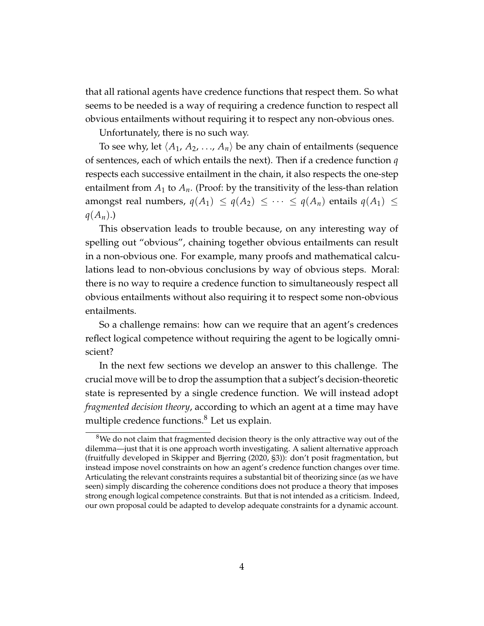that all rational agents have credence functions that respect them. So what seems to be needed is a way of requiring a credence function to respect all obvious entailments without requiring it to respect any non-obvious ones.

Unfortunately, there is no such way.

To see why, let  $\langle A_1, A_2, ..., A_n \rangle$  be any chain of entailments (sequence of sentences, each of which entails the next). Then if a credence function *q* respects each successive entailment in the chain, it also respects the one-step entailment from  $A_1$  to  $A_n$ . (Proof: by the transitivity of the less-than relation amongst real numbers,  $q(A_1) \leq q(A_2) \leq \cdots \leq q(A_n)$  entails  $q(A_1) \leq$  $q(A_n)$ .)

This observation leads to trouble because, on any interesting way of spelling out "obvious", chaining together obvious entailments can result in a non-obvious one. For example, many proofs and mathematical calculations lead to non-obvious conclusions by way of obvious steps. Moral: there is no way to require a credence function to simultaneously respect all obvious entailments without also requiring it to respect some non-obvious entailments.

So a challenge remains: how can we require that an agent's credences reflect logical competence without requiring the agent to be logically omniscient?

In the next few sections we develop an answer to this challenge. The crucial move will be to drop the assumption that a subject's decision-theoretic state is represented by a single credence function. We will instead adopt *fragmented decision theory*, according to which an agent at a time may have multiple credence functions.<sup>8</sup> Let us explain.

 $8$ We do not claim that fragmented decision theory is the only attractive way out of the dilemma—just that it is one approach worth investigating. A salient alternative approach (fruitfully developed in Skipper and Bjerring (2020, §3)): don't posit fragmentation, but instead impose novel constraints on how an agent's credence function changes over time. Articulating the relevant constraints requires a substantial bit of theorizing since (as we have seen) simply discarding the coherence conditions does not produce a theory that imposes strong enough logical competence constraints. But that is not intended as a criticism. Indeed, our own proposal could be adapted to develop adequate constraints for a dynamic account.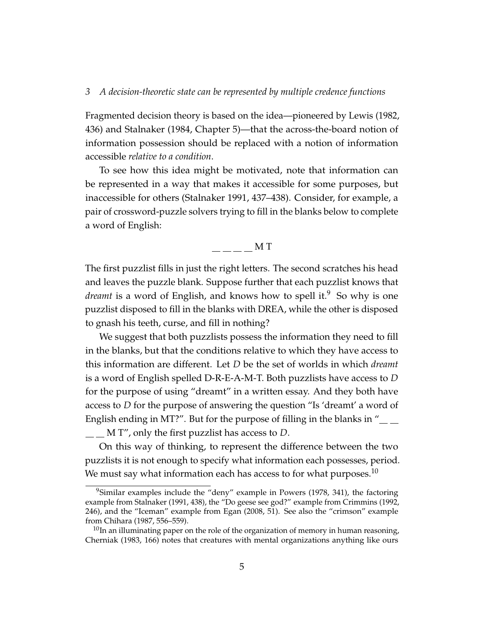Fragmented decision theory is based on the idea—pioneered by Lewis (1982, 436) and Stalnaker (1984, Chapter 5)—that the across-the-board notion of information possession should be replaced with a notion of information accessible *relative to a condition*.

To see how this idea might be motivated, note that information can be represented in a way that makes it accessible for some purposes, but inaccessible for others (Stalnaker 1991, 437–438). Consider, for example, a pair of crossword-puzzle solvers trying to fill in the blanks below to complete a word of English:

# M T

The first puzzlist fills in just the right letters. The second scratches his head and leaves the puzzle blank. Suppose further that each puzzlist knows that *dreamt* is a word of English, and knows how to spell it.<sup>9</sup> So why is one puzzlist disposed to fill in the blanks with DREA, while the other is disposed to gnash his teeth, curse, and fill in nothing?

We suggest that both puzzlists possess the information they need to fill in the blanks, but that the conditions relative to which they have access to this information are different. Let *D* be the set of worlds in which *dreamt* is a word of English spelled D-R-E-A-M-T. Both puzzlists have access to *D* for the purpose of using "dreamt" in a written essay. And they both have access to *D* for the purpose of answering the question "Is 'dreamt' a word of English ending in MT?". But for the purpose of filling in the blanks in  $T_{\text{max}}$ 

<u>\_\_</u> M T'', only the first puzzlist has access to *D*.

On this way of thinking, to represent the difference between the two puzzlists it is not enough to specify what information each possesses, period. We must say what information each has access to for what purposes.<sup>10</sup>

 $9$ Similar examples include the "deny" example in Powers (1978, 341), the factoring example from Stalnaker (1991, 438), the "Do geese see god?" example from Crimmins (1992, 246), and the "Iceman" example from Egan (2008, 51). See also the "crimson" example from Chihara (1987, 556–559).

 $10$ In an illuminating paper on the role of the organization of memory in human reasoning, Cherniak (1983, 166) notes that creatures with mental organizations anything like ours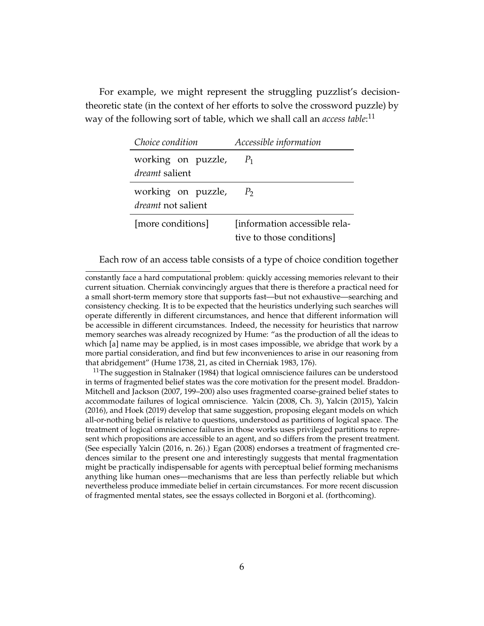For example, we might represent the struggling puzzlist's decisiontheoretic state (in the context of her efforts to solve the crossword puzzle) by way of the following sort of table, which we shall call an *access table*: 11

| Choice condition          | Accessible information        |
|---------------------------|-------------------------------|
| working on puzzle,        | $P_1$                         |
| <i>dreamt</i> salient     |                               |
| working on puzzle,        | P <sub>2</sub>                |
| <i>dreamt</i> not salient |                               |
| [more conditions]         | [information accessible rela- |
|                           | tive to those conditions      |

Each row of an access table consists of a type of choice condition together

constantly face a hard computational problem: quickly accessing memories relevant to their current situation. Cherniak convincingly argues that there is therefore a practical need for a small short-term memory store that supports fast—but not exhaustive—searching and consistency checking. It is to be expected that the heuristics underlying such searches will operate differently in different circumstances, and hence that different information will be accessible in different circumstances. Indeed, the necessity for heuristics that narrow memory searches was already recognized by Hume: "as the production of all the ideas to which [a] name may be applied, is in most cases impossible, we abridge that work by a more partial consideration, and find but few inconveniences to arise in our reasoning from that abridgement" (Hume 1738, 21, as cited in Cherniak 1983, 176).

 $11$ The suggestion in Stalnaker (1984) that logical omniscience failures can be understood in terms of fragmented belief states was the core motivation for the present model. Braddon-Mitchell and Jackson (2007, 199–200) also uses fragmented coarse-grained belief states to accommodate failures of logical omniscience. Yalcin (2008, Ch. 3), Yalcin (2015), Yalcin (2016), and Hoek (2019) develop that same suggestion, proposing elegant models on which all-or-nothing belief is relative to questions, understood as partitions of logical space. The treatment of logical omniscience failures in those works uses privileged partitions to represent which propositions are accessible to an agent, and so differs from the present treatment. (See especially Yalcin (2016, n. 26).) Egan (2008) endorses a treatment of fragmented credences similar to the present one and interestingly suggests that mental fragmentation might be practically indispensable for agents with perceptual belief forming mechanisms anything like human ones—mechanisms that are less than perfectly reliable but which nevertheless produce immediate belief in certain circumstances. For more recent discussion of fragmented mental states, see the essays collected in Borgoni et al. (forthcoming).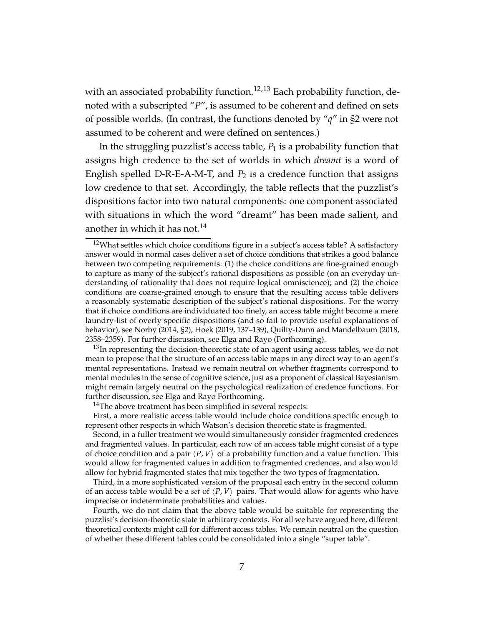with an associated probability function.<sup>12,13</sup> Each probability function, denoted with a subscripted "*P*", is assumed to be coherent and defined on sets of possible worlds. (In contrast, the functions denoted by "*q*" in §2 were not assumed to be coherent and were defined on sentences.)

In the struggling puzzlist's access table,  $P_1$  is a probability function that assigns high credence to the set of worlds in which *dreamt* is a word of English spelled D-R-E-A-M-T, and  $P_2$  is a credence function that assigns low credence to that set. Accordingly, the table reflects that the puzzlist's dispositions factor into two natural components: one component associated with situations in which the word "dreamt" has been made salient, and another in which it has not.<sup>14</sup>

 $13$ In representing the decision-theoretic state of an agent using access tables, we do not mean to propose that the structure of an access table maps in any direct way to an agent's mental representations. Instead we remain neutral on whether fragments correspond to mental modules in the sense of cognitive science, just as a proponent of classical Bayesianism might remain largely neutral on the psychological realization of credence functions. For further discussion, see Elga and Rayo Forthcoming.

Second, in a fuller treatment we would simultaneously consider fragmented credences and fragmented values. In particular, each row of an access table might consist of a type of choice condition and a pair  $\langle P, V \rangle$  of a probability function and a value function. This would allow for fragmented values in addition to fragmented credences, and also would allow for hybrid fragmented states that mix together the two types of fragmentation.

Third, in a more sophisticated version of the proposal each entry in the second column of an access table would be a *set* of  $\langle P, V \rangle$  pairs. That would allow for agents who have imprecise or indeterminate probabilities and values.

Fourth, we do not claim that the above table would be suitable for representing the puzzlist's decision-theoretic state in arbitrary contexts. For all we have argued here, different theoretical contexts might call for different access tables. We remain neutral on the question of whether these different tables could be consolidated into a single "super table".

 $12$ What settles which choice conditions figure in a subject's access table? A satisfactory answer would in normal cases deliver a set of choice conditions that strikes a good balance between two competing requirements: (1) the choice conditions are fine-grained enough to capture as many of the subject's rational dispositions as possible (on an everyday understanding of rationality that does not require logical omniscience); and (2) the choice conditions are coarse-grained enough to ensure that the resulting access table delivers a reasonably systematic description of the subject's rational dispositions. For the worry that if choice conditions are individuated too finely, an access table might become a mere laundry-list of overly specific dispositions (and so fail to provide useful explanations of behavior), see Norby (2014, §2), Hoek (2019, 137–139), Quilty-Dunn and Mandelbaum (2018, 2358–2359). For further discussion, see Elga and Rayo (Forthcoming).

 $14$ The above treatment has been simplified in several respects:

First, a more realistic access table would include choice conditions specific enough to represent other respects in which Watson's decision theoretic state is fragmented.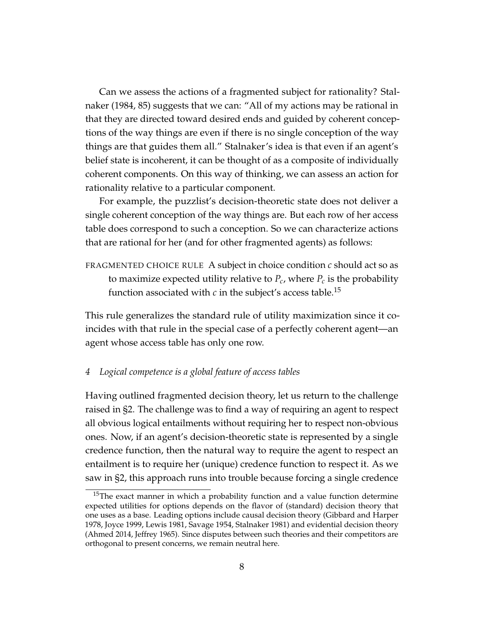Can we assess the actions of a fragmented subject for rationality? Stalnaker (1984, 85) suggests that we can: "All of my actions may be rational in that they are directed toward desired ends and guided by coherent conceptions of the way things are even if there is no single conception of the way things are that guides them all." Stalnaker's idea is that even if an agent's belief state is incoherent, it can be thought of as a composite of individually coherent components. On this way of thinking, we can assess an action for rationality relative to a particular component.

For example, the puzzlist's decision-theoretic state does not deliver a single coherent conception of the way things are. But each row of her access table does correspond to such a conception. So we can characterize actions that are rational for her (and for other fragmented agents) as follows:

FRAGMENTED CHOICE RULE A subject in choice condition *c* should act so as to maximize expected utility relative to  $P_c$ , where  $P_c$  is the probability function associated with  $c$  in the subject's access table.<sup>15</sup>

This rule generalizes the standard rule of utility maximization since it coincides with that rule in the special case of a perfectly coherent agent—an agent whose access table has only one row.

## *4 Logical competence is a global feature of access tables*

Having outlined fragmented decision theory, let us return to the challenge raised in §2. The challenge was to find a way of requiring an agent to respect all obvious logical entailments without requiring her to respect non-obvious ones. Now, if an agent's decision-theoretic state is represented by a single credence function, then the natural way to require the agent to respect an entailment is to require her (unique) credence function to respect it. As we saw in §2, this approach runs into trouble because forcing a single credence

<sup>&</sup>lt;sup>15</sup>The exact manner in which a probability function and a value function determine expected utilities for options depends on the flavor of (standard) decision theory that one uses as a base. Leading options include causal decision theory (Gibbard and Harper 1978, Joyce 1999, Lewis 1981, Savage 1954, Stalnaker 1981) and evidential decision theory (Ahmed 2014, Jeffrey 1965). Since disputes between such theories and their competitors are orthogonal to present concerns, we remain neutral here.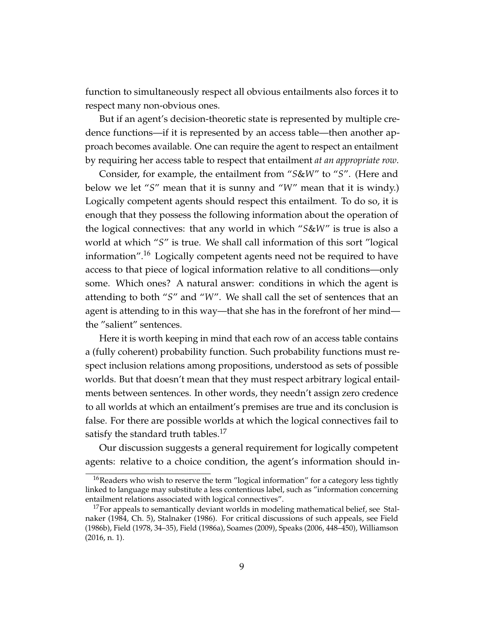function to simultaneously respect all obvious entailments also forces it to respect many non-obvious ones.

But if an agent's decision-theoretic state is represented by multiple credence functions—if it is represented by an access table—then another approach becomes available. One can require the agent to respect an entailment by requiring her access table to respect that entailment *at an appropriate row*.

Consider, for example, the entailment from "*S*&*W*" to "*S*". (Here and below we let "*S*" mean that it is sunny and "*W*" mean that it is windy.) Logically competent agents should respect this entailment. To do so, it is enough that they possess the following information about the operation of the logical connectives: that any world in which "*S*&*W*" is true is also a world at which "*S*" is true. We shall call information of this sort "logical information".<sup>16</sup> Logically competent agents need not be required to have access to that piece of logical information relative to all conditions—only some. Which ones? A natural answer: conditions in which the agent is attending to both "*S*" and "*W*". We shall call the set of sentences that an agent is attending to in this way—that she has in the forefront of her mind the "salient" sentences.

Here it is worth keeping in mind that each row of an access table contains a (fully coherent) probability function. Such probability functions must respect inclusion relations among propositions, understood as sets of possible worlds. But that doesn't mean that they must respect arbitrary logical entailments between sentences. In other words, they needn't assign zero credence to all worlds at which an entailment's premises are true and its conclusion is false. For there are possible worlds at which the logical connectives fail to satisfy the standard truth tables.<sup>17</sup>

Our discussion suggests a general requirement for logically competent agents: relative to a choice condition, the agent's information should in-

<sup>&</sup>lt;sup>16</sup>Readers who wish to reserve the term "logical information" for a category less tightly linked to language may substitute a less contentious label, such as "information concerning entailment relations associated with logical connectives".

 $17$  For appeals to semantically deviant worlds in modeling mathematical belief, see Stalnaker (1984, Ch. 5), Stalnaker (1986). For critical discussions of such appeals, see Field (1986b), Field (1978, 34–35), Field (1986a), Soames (2009), Speaks (2006, 448–450), Williamson (2016, n. 1).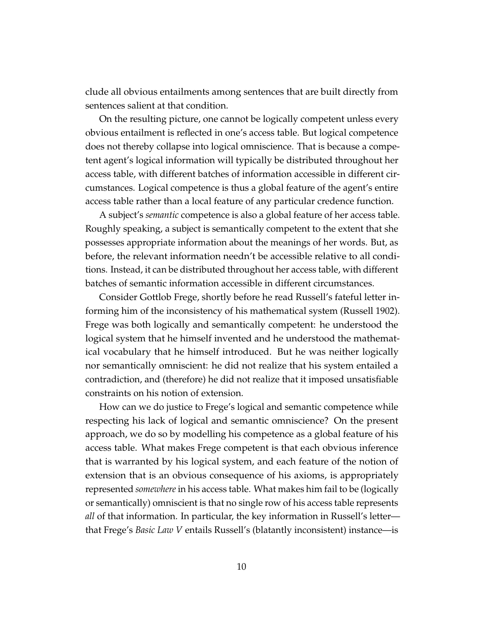clude all obvious entailments among sentences that are built directly from sentences salient at that condition.

On the resulting picture, one cannot be logically competent unless every obvious entailment is reflected in one's access table. But logical competence does not thereby collapse into logical omniscience. That is because a competent agent's logical information will typically be distributed throughout her access table, with different batches of information accessible in different circumstances. Logical competence is thus a global feature of the agent's entire access table rather than a local feature of any particular credence function.

A subject's *semantic* competence is also a global feature of her access table. Roughly speaking, a subject is semantically competent to the extent that she possesses appropriate information about the meanings of her words. But, as before, the relevant information needn't be accessible relative to all conditions. Instead, it can be distributed throughout her access table, with different batches of semantic information accessible in different circumstances.

Consider Gottlob Frege, shortly before he read Russell's fateful letter informing him of the inconsistency of his mathematical system (Russell 1902). Frege was both logically and semantically competent: he understood the logical system that he himself invented and he understood the mathematical vocabulary that he himself introduced. But he was neither logically nor semantically omniscient: he did not realize that his system entailed a contradiction, and (therefore) he did not realize that it imposed unsatisfiable constraints on his notion of extension.

How can we do justice to Frege's logical and semantic competence while respecting his lack of logical and semantic omniscience? On the present approach, we do so by modelling his competence as a global feature of his access table. What makes Frege competent is that each obvious inference that is warranted by his logical system, and each feature of the notion of extension that is an obvious consequence of his axioms, is appropriately represented *somewhere* in his access table. What makes him fail to be (logically or semantically) omniscient is that no single row of his access table represents *all* of that information. In particular, the key information in Russell's letter that Frege's *Basic Law V* entails Russell's (blatantly inconsistent) instance—is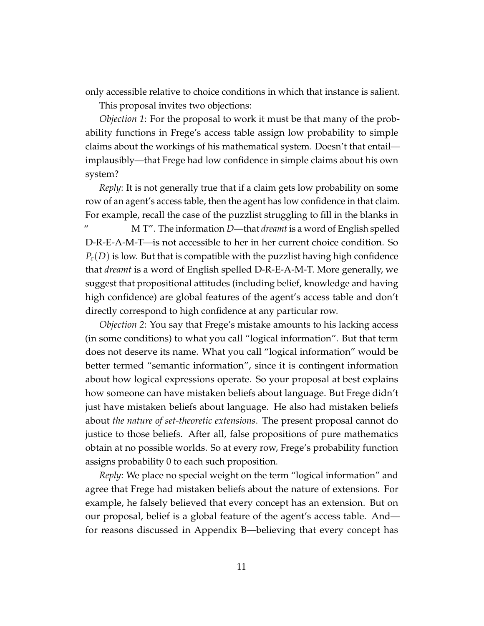only accessible relative to choice conditions in which that instance is salient.

This proposal invites two objections:

*Objection 1*: For the proposal to work it must be that many of the probability functions in Frege's access table assign low probability to simple claims about the workings of his mathematical system. Doesn't that entail implausibly—that Frege had low confidence in simple claims about his own system?

*Reply*: It is not generally true that if a claim gets low probability on some row of an agent's access table, then the agent has low confidence in that claim. For example, recall the case of the puzzlist struggling to fill in the blanks in <u>M</u> T''. The information *D*—that *dreamt* is a word of English spelled D-R-E-A-M-T—is not accessible to her in her current choice condition. So  $P_c(D)$  is low. But that is compatible with the puzzlist having high confidence that *dreamt* is a word of English spelled D-R-E-A-M-T. More generally, we suggest that propositional attitudes (including belief, knowledge and having high confidence) are global features of the agent's access table and don't directly correspond to high confidence at any particular row.

*Objection 2*: You say that Frege's mistake amounts to his lacking access (in some conditions) to what you call "logical information". But that term does not deserve its name. What you call "logical information" would be better termed "semantic information", since it is contingent information about how logical expressions operate. So your proposal at best explains how someone can have mistaken beliefs about language. But Frege didn't just have mistaken beliefs about language. He also had mistaken beliefs about *the nature of set-theoretic extensions*. The present proposal cannot do justice to those beliefs. After all, false propositions of pure mathematics obtain at no possible worlds. So at every row, Frege's probability function assigns probability 0 to each such proposition.

*Reply*: We place no special weight on the term "logical information" and agree that Frege had mistaken beliefs about the nature of extensions. For example, he falsely believed that every concept has an extension. But on our proposal, belief is a global feature of the agent's access table. And for reasons discussed in Appendix B—believing that every concept has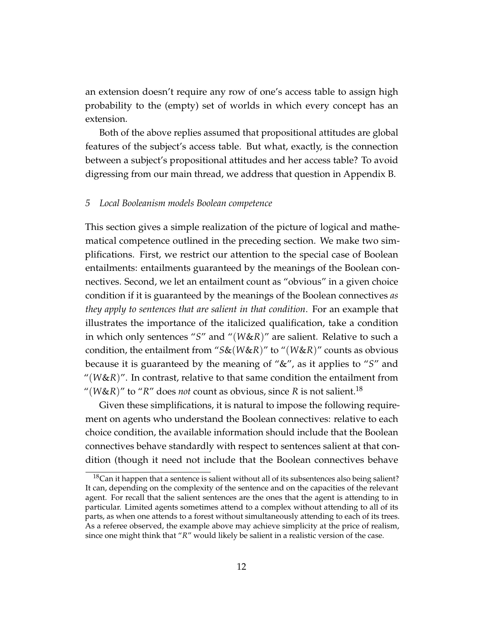an extension doesn't require any row of one's access table to assign high probability to the (empty) set of worlds in which every concept has an extension.

Both of the above replies assumed that propositional attitudes are global features of the subject's access table. But what, exactly, is the connection between a subject's propositional attitudes and her access table? To avoid digressing from our main thread, we address that question in Appendix B.

#### *5 Local Booleanism models Boolean competence*

This section gives a simple realization of the picture of logical and mathematical competence outlined in the preceding section. We make two simplifications. First, we restrict our attention to the special case of Boolean entailments: entailments guaranteed by the meanings of the Boolean connectives. Second, we let an entailment count as "obvious" in a given choice condition if it is guaranteed by the meanings of the Boolean connectives *as they apply to sentences that are salient in that condition*. For an example that illustrates the importance of the italicized qualification, take a condition in which only sentences "*S*" and "(*W*&*R*)" are salient. Relative to such a condition, the entailment from "*S*&(*W*&*R*)" to "(*W*&*R*)" counts as obvious because it is guaranteed by the meaning of "&", as it applies to "*S*" and "(*W*&*R*)". In contrast, relative to that same condition the entailment from "( $W\&R$ )" to " $R$ " does *not* count as obvious, since  $R$  is not salient.<sup>18</sup>

Given these simplifications, it is natural to impose the following requirement on agents who understand the Boolean connectives: relative to each choice condition, the available information should include that the Boolean connectives behave standardly with respect to sentences salient at that condition (though it need not include that the Boolean connectives behave

 $18$ Can it happen that a sentence is salient without all of its subsentences also being salient? It can, depending on the complexity of the sentence and on the capacities of the relevant agent. For recall that the salient sentences are the ones that the agent is attending to in particular. Limited agents sometimes attend to a complex without attending to all of its parts, as when one attends to a forest without simultaneously attending to each of its trees. As a referee observed, the example above may achieve simplicity at the price of realism, since one might think that "*R*" would likely be salient in a realistic version of the case.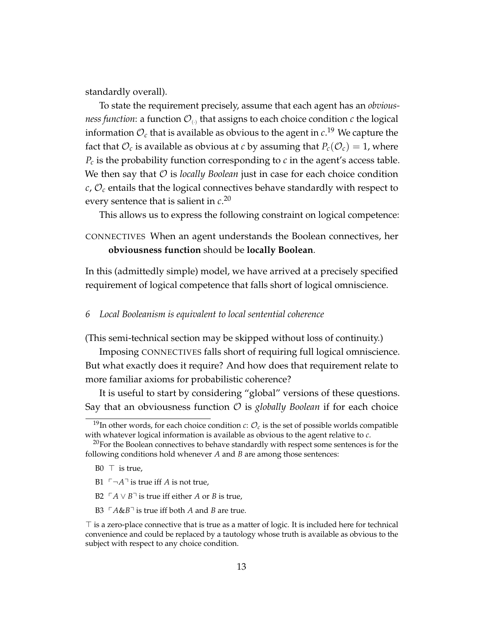standardly overall).

To state the requirement precisely, assume that each agent has an *obviousness function*: a function  $\mathcal{O}_{\odot}$  that assigns to each choice condition *c* the logical information O*<sup>c</sup>* that is available as obvious to the agent in *c*. <sup>19</sup> We capture the fact that  $\mathcal{O}_c$  is available as obvious at *c* by assuming that  $P_c(\mathcal{O}_c) = 1$ , where  $P_c$  is the probability function corresponding to *c* in the agent's access table. We then say that  $\mathcal O$  is *locally Boolean* just in case for each choice condition *c*, O*<sup>c</sup>* entails that the logical connectives behave standardly with respect to every sentence that is salient in *c*. 20

This allows us to express the following constraint on logical competence:

CONNECTIVES When an agent understands the Boolean connectives, her **obviousness function** should be **locally Boolean**.

In this (admittedly simple) model, we have arrived at a precisely specified requirement of logical competence that falls short of logical omniscience.

### *6 Local Booleanism is equivalent to local sentential coherence*

(This semi-technical section may be skipped without loss of continuity.)

Imposing CONNECTIVES falls short of requiring full logical omniscience. But what exactly does it require? And how does that requirement relate to more familiar axioms for probabilistic coherence?

It is useful to start by considering "global" versions of these questions. Say that an obviousness function O is *globally Boolean* if for each choice

- B1  $\ulcorner\neg A\urcorner$  is true iff *A* is not true,
- B2  $\Gamma$ *A* ∨ *B*<sup> $\Box$ </sup> is true iff either *A* or *B* is true,
- B3  $\Gamma A \& B \rceil$  is true iff both *A* and *B* are true.

<sup>&</sup>lt;sup>19</sup>In other words, for each choice condition *c*:  $\mathcal{O}_c$  is the set of possible worlds compatible with whatever logical information is available as obvious to the agent relative to *c*.

 $20$  For the Boolean connectives to behave standardly with respect some sentences is for the following conditions hold whenever *A* and *B* are among those sentences:

B0  $\top$  is true,

 $\top$  is a zero-place connective that is true as a matter of logic. It is included here for technical convenience and could be replaced by a tautology whose truth is available as obvious to the subject with respect to any choice condition.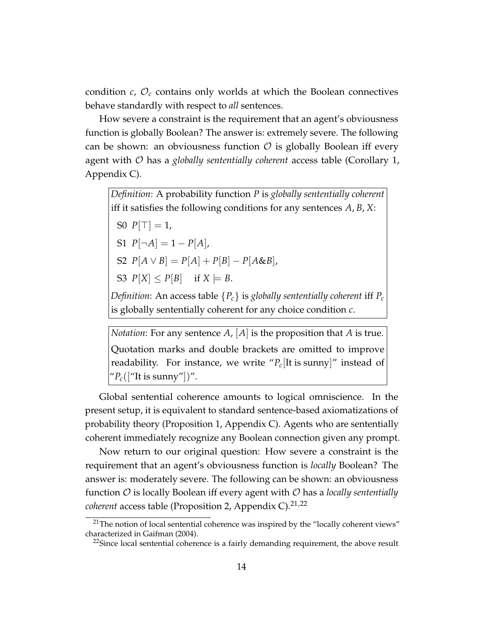condition  $c$ ,  $\mathcal{O}_c$  contains only worlds at which the Boolean connectives behave standardly with respect to *all* sentences.

How severe a constraint is the requirement that an agent's obviousness function is globally Boolean? The answer is: extremely severe. The following can be shown: an obviousness function  $\mathcal O$  is globally Boolean iff every agent with O has a *globally sententially coherent* access table (Corollary 1, Appendix C).

*Definition*: A probability function *P* is *globally sententially coherent* iff it satisfies the following conditions for any sentences *A*, *B*, *X*: S0  $P[T] = 1$ ,  $S1 \ P[\neg A] = 1 - P[A],$  $S2 \ P[A \lor B] = P[A] + P[B] - P[A \& B],$ S3  $P[X] \leq P[B]$  if  $X \models B$ . *Definition:* An access table  ${P_c}$  is *globally sententially coherent* iff  $P_c$ is globally sententially coherent for any choice condition *c*.

*Notation*: For any sentence *A*, [*A*] is the proposition that *A* is true. Quotation marks and double brackets are omitted to improve readability. For instance, we write " $P_c$ [It is sunny]" instead of " $P_c(["It is sunny"])"$ .

Global sentential coherence amounts to logical omniscience. In the present setup, it is equivalent to standard sentence-based axiomatizations of probability theory (Proposition 1, Appendix C). Agents who are sententially coherent immediately recognize any Boolean connection given any prompt.

Now return to our original question: How severe a constraint is the requirement that an agent's obviousness function is *locally* Boolean? The answer is: moderately severe. The following can be shown: an obviousness function O is locally Boolean iff every agent with O has a *locally sententially coherent* access table (Proposition 2, Appendix C).<sup>21,22</sup>

 $21$ The notion of local sentential coherence was inspired by the "locally coherent views" characterized in Gaifman (2004).

 $22$ Since local sentential coherence is a fairly demanding requirement, the above result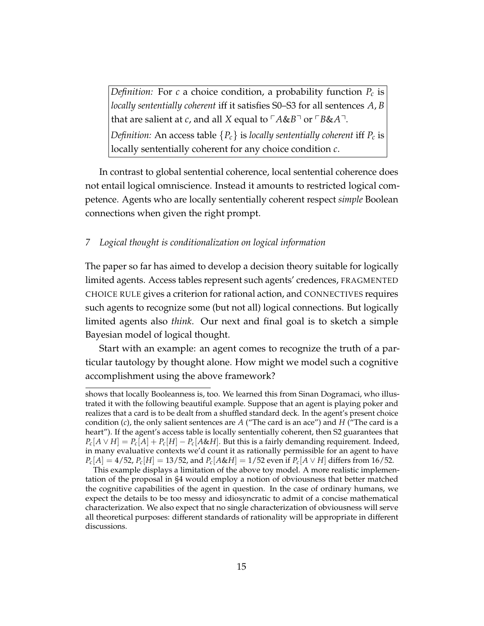*Definition:* For *c* a choice condition, a probability function *P<sup>c</sup>* is *locally sententially coherent* iff it satisfies S0–S3 for all sentences *A*, *B* that are salient at *c*, and all *X* equal to  $\ulcorner A \& B \urcorner$  or  $\ulcorner B \& A \urcorner$ . *Definition:* An access table  ${P_c}$  is *locally sententially coherent* iff  $P_c$  is locally sententially coherent for any choice condition *c*.

In contrast to global sentential coherence, local sentential coherence does not entail logical omniscience. Instead it amounts to restricted logical competence. Agents who are locally sententially coherent respect *simple* Boolean connections when given the right prompt.

## *7 Logical thought is conditionalization on logical information*

The paper so far has aimed to develop a decision theory suitable for logically limited agents. Access tables represent such agents' credences, FRAGMENTED CHOICE RULE gives a criterion for rational action, and CONNECTIVES requires such agents to recognize some (but not all) logical connections. But logically limited agents also *think*. Our next and final goal is to sketch a simple Bayesian model of logical thought.

Start with an example: an agent comes to recognize the truth of a particular tautology by thought alone. How might we model such a cognitive accomplishment using the above framework?

shows that locally Booleanness is, too. We learned this from Sinan Dogramaci, who illustrated it with the following beautiful example. Suppose that an agent is playing poker and realizes that a card is to be dealt from a shuffled standard deck. In the agent's present choice condition (*c*), the only salient sentences are *A* ("The card is an ace") and *H* ("The card is a heart"). If the agent's access table is locally sententially coherent, then S2 guarantees that  $P_c[A \vee H] = P_c[A] + P_c[H] - P_c[A \& H]$ . But this is a fairly demanding requirement. Indeed, in many evaluative contexts we'd count it as rationally permissible for an agent to have  $P_c[A] = 4/52$ ,  $P_c[H] = 13/52$ , and  $P_c[A \& H] = 1/52$  even if  $P_c[A \lor H]$  differs from 16/52.

This example displays a limitation of the above toy model. A more realistic implementation of the proposal in §4 would employ a notion of obviousness that better matched the cognitive capabilities of the agent in question. In the case of ordinary humans, we expect the details to be too messy and idiosyncratic to admit of a concise mathematical characterization. We also expect that no single characterization of obviousness will serve all theoretical purposes: different standards of rationality will be appropriate in different discussions.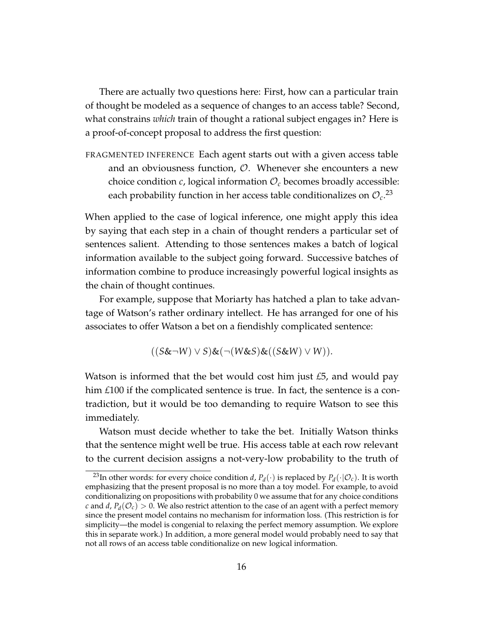There are actually two questions here: First, how can a particular train of thought be modeled as a sequence of changes to an access table? Second, what constrains *which* train of thought a rational subject engages in? Here is a proof-of-concept proposal to address the first question:

FRAGMENTED INFERENCE Each agent starts out with a given access table and an obviousness function,  $\mathcal{O}$ . Whenever she encounters a new choice condition  $c$ , logical information  $\mathcal{O}_c$  becomes broadly accessible: each probability function in her access table conditionalizes on  $\mathcal{O}_{c}$ .<sup>23</sup>

When applied to the case of logical inference, one might apply this idea by saying that each step in a chain of thought renders a particular set of sentences salient. Attending to those sentences makes a batch of logical information available to the subject going forward. Successive batches of information combine to produce increasingly powerful logical insights as the chain of thought continues.

For example, suppose that Moriarty has hatched a plan to take advantage of Watson's rather ordinary intellect. He has arranged for one of his associates to offer Watson a bet on a fiendishly complicated sentence:

$$
((S\&\neg W)\vee S)\&(\neg(W\&S)\&((S\&W)\vee W)).
$$

Watson is informed that the bet would cost him just *£*5, and would pay him *£*100 if the complicated sentence is true. In fact, the sentence is a contradiction, but it would be too demanding to require Watson to see this immediately.

Watson must decide whether to take the bet. Initially Watson thinks that the sentence might well be true. His access table at each row relevant to the current decision assigns a not-very-low probability to the truth of

<sup>&</sup>lt;sup>23</sup>In other words: for every choice condition *d*,  $P_d(\cdot)$  is replaced by  $P_d(\cdot | \mathcal{O}_c)$ . It is worth emphasizing that the present proposal is no more than a toy model. For example, to avoid conditionalizing on propositions with probability 0 we assume that for any choice conditions *c* and *d*,  $P_d(\mathcal{O}_c) > 0$ . We also restrict attention to the case of an agent with a perfect memory since the present model contains no mechanism for information loss. (This restriction is for simplicity—the model is congenial to relaxing the perfect memory assumption. We explore this in separate work.) In addition, a more general model would probably need to say that not all rows of an access table conditionalize on new logical information.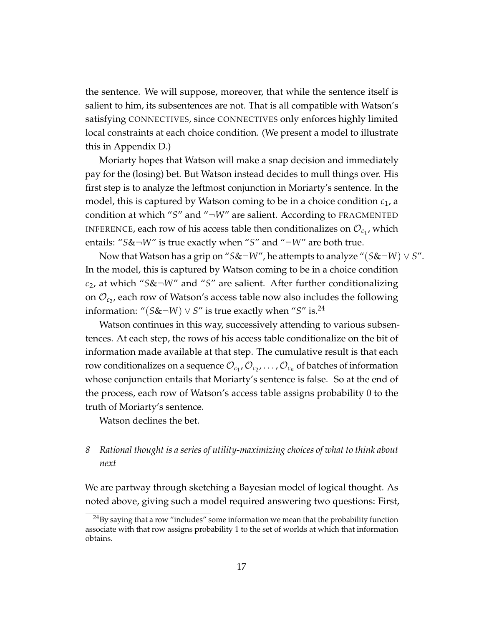the sentence. We will suppose, moreover, that while the sentence itself is salient to him, its subsentences are not. That is all compatible with Watson's satisfying CONNECTIVES, since CONNECTIVES only enforces highly limited local constraints at each choice condition. (We present a model to illustrate this in Appendix D.)

Moriarty hopes that Watson will make a snap decision and immediately pay for the (losing) bet. But Watson instead decides to mull things over. His first step is to analyze the leftmost conjunction in Moriarty's sentence. In the model, this is captured by Watson coming to be in a choice condition *c*1, a condition at which "*S*" and "¬*W*" are salient. According to FRAGMENTED INFERENCE, each row of his access table then conditionalizes on  $\mathcal{O}_{c_{1}}$ , which entails: "*S*&¬*W*" is true exactly when "*S*" and "¬*W*" are both true.

Now that Watson has a grip on "*S*&¬*W*", he attempts to analyze "(*S*&¬*W*) ∨ *S*". In the model, this is captured by Watson coming to be in a choice condition *c*2, at which "*S*&¬*W*" and "*S*" are salient. After further conditionalizing on  $\mathcal{O}_{c_2}$ , each row of Watson's access table now also includes the following information: " $(S\&\neg W) \vee S$ " is true exactly when "*S*" is.<sup>24</sup>

Watson continues in this way, successively attending to various subsentences. At each step, the rows of his access table conditionalize on the bit of information made available at that step. The cumulative result is that each row conditionalizes on a sequence  $\mathcal{O}_{c_1}, \mathcal{O}_{c_2}, \ldots, \mathcal{O}_{c_n}$  of batches of information whose conjunction entails that Moriarty's sentence is false. So at the end of the process, each row of Watson's access table assigns probability 0 to the truth of Moriarty's sentence.

Watson declines the bet.

# *8 Rational thought is a series of utility-maximizing choices of what to think about next*

We are partway through sketching a Bayesian model of logical thought. As noted above, giving such a model required answering two questions: First,

 $^{24}$ By saying that a row "includes" some information we mean that the probability function associate with that row assigns probability 1 to the set of worlds at which that information obtains.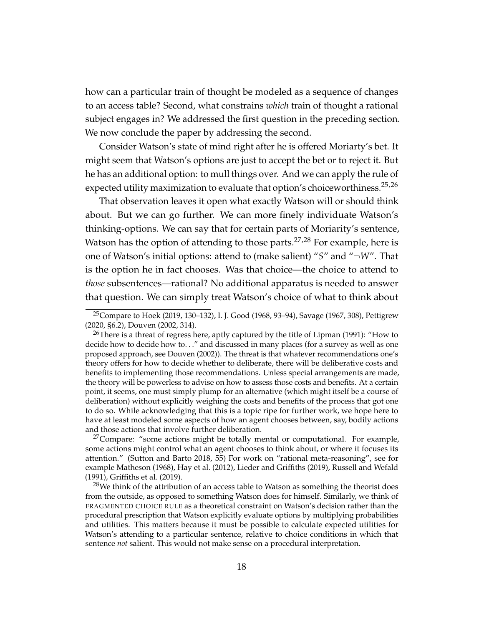how can a particular train of thought be modeled as a sequence of changes to an access table? Second, what constrains *which* train of thought a rational subject engages in? We addressed the first question in the preceding section. We now conclude the paper by addressing the second.

Consider Watson's state of mind right after he is offered Moriarty's bet. It might seem that Watson's options are just to accept the bet or to reject it. But he has an additional option: to mull things over. And we can apply the rule of expected utility maximization to evaluate that option's choiceworthiness.<sup>25,26</sup>

That observation leaves it open what exactly Watson will or should think about. But we can go further. We can more finely individuate Watson's thinking-options. We can say that for certain parts of Moriarity's sentence, Watson has the option of attending to those parts. $27,28$  For example, here is one of Watson's initial options: attend to (make salient) "*S*" and "¬*W*". That is the option he in fact chooses. Was that choice—the choice to attend to *those* subsentences—rational? No additional apparatus is needed to answer that question. We can simply treat Watson's choice of what to think about

 $27$ Compare: "some actions might be totally mental or computational. For example, some actions might control what an agent chooses to think about, or where it focuses its attention." (Sutton and Barto 2018, 55) For work on "rational meta-reasoning", see for example Matheson (1968), Hay et al. (2012), Lieder and Griffiths (2019), Russell and Wefald (1991), Griffiths et al. (2019).

<sup>25</sup>Compare to Hoek (2019, 130–132), I. J. Good (1968, 93–94), Savage (1967, 308), Pettigrew (2020, §6.2), Douven (2002, 314).

<sup>&</sup>lt;sup>26</sup>There is a threat of regress here, aptly captured by the title of Lipman (1991): "How to decide how to decide how to. . ." and discussed in many places (for a survey as well as one proposed approach, see Douven (2002)). The threat is that whatever recommendations one's theory offers for how to decide whether to deliberate, there will be deliberative costs and benefits to implementing those recommendations. Unless special arrangements are made, the theory will be powerless to advise on how to assess those costs and benefits. At a certain point, it seems, one must simply plump for an alternative (which might itself be a course of deliberation) without explicitly weighing the costs and benefits of the process that got one to do so. While acknowledging that this is a topic ripe for further work, we hope here to have at least modeled some aspects of how an agent chooses between, say, bodily actions and those actions that involve further deliberation.

 $28$ We think of the attribution of an access table to Watson as something the theorist does from the outside, as opposed to something Watson does for himself. Similarly, we think of FRAGMENTED CHOICE RULE as a theoretical constraint on Watson's decision rather than the procedural prescription that Watson explicitly evaluate options by multiplying probabilities and utilities. This matters because it must be possible to calculate expected utilities for Watson's attending to a particular sentence, relative to choice conditions in which that sentence *not* salient. This would not make sense on a procedural interpretation.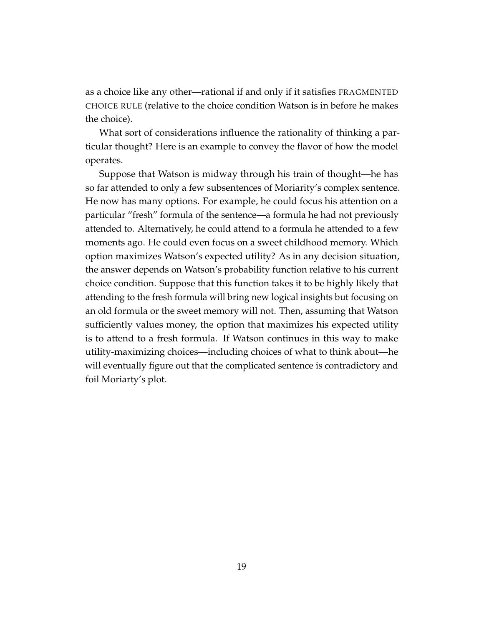as a choice like any other—rational if and only if it satisfies FRAGMENTED CHOICE RULE (relative to the choice condition Watson is in before he makes the choice).

What sort of considerations influence the rationality of thinking a particular thought? Here is an example to convey the flavor of how the model operates.

Suppose that Watson is midway through his train of thought—he has so far attended to only a few subsentences of Moriarity's complex sentence. He now has many options. For example, he could focus his attention on a particular "fresh" formula of the sentence—a formula he had not previously attended to. Alternatively, he could attend to a formula he attended to a few moments ago. He could even focus on a sweet childhood memory. Which option maximizes Watson's expected utility? As in any decision situation, the answer depends on Watson's probability function relative to his current choice condition. Suppose that this function takes it to be highly likely that attending to the fresh formula will bring new logical insights but focusing on an old formula or the sweet memory will not. Then, assuming that Watson sufficiently values money, the option that maximizes his expected utility is to attend to a fresh formula. If Watson continues in this way to make utility-maximizing choices—including choices of what to think about—he will eventually figure out that the complicated sentence is contradictory and foil Moriarty's plot.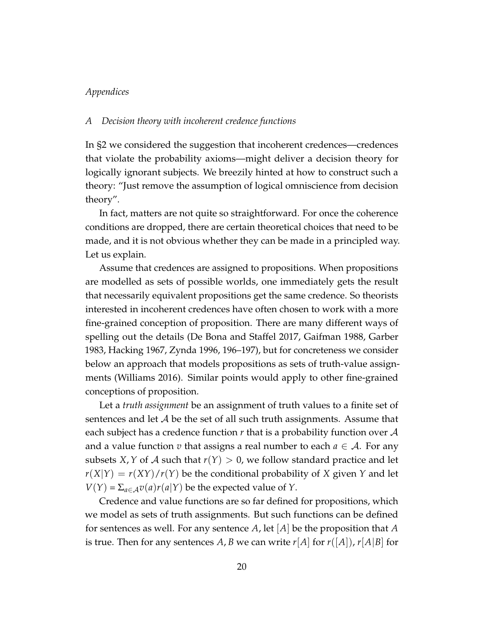## *Appendices*

#### *A Decision theory with incoherent credence functions*

In §2 we considered the suggestion that incoherent credences—credences that violate the probability axioms—might deliver a decision theory for logically ignorant subjects. We breezily hinted at how to construct such a theory: "Just remove the assumption of logical omniscience from decision theory".

In fact, matters are not quite so straightforward. For once the coherence conditions are dropped, there are certain theoretical choices that need to be made, and it is not obvious whether they can be made in a principled way. Let us explain.

Assume that credences are assigned to propositions. When propositions are modelled as sets of possible worlds, one immediately gets the result that necessarily equivalent propositions get the same credence. So theorists interested in incoherent credences have often chosen to work with a more fine-grained conception of proposition. There are many different ways of spelling out the details (De Bona and Staffel 2017, Gaifman 1988, Garber 1983, Hacking 1967, Zynda 1996, 196–197), but for concreteness we consider below an approach that models propositions as sets of truth-value assignments (Williams 2016). Similar points would apply to other fine-grained conceptions of proposition.

Let a *truth assignment* be an assignment of truth values to a finite set of sentences and let  $A$  be the set of all such truth assignments. Assume that each subject has a credence function *r* that is a probability function over A and a value function *v* that assigns a real number to each  $a \in A$ . For any subsets *X*, *Y* of *A* such that  $r(Y) > 0$ , we follow standard practice and let  $r(X|Y) = r(XY)/r(Y)$  be the conditional probability of *X* given *Y* and let  $V(Y) = \sum_{a \in A} v(a)r(a|Y)$  be the expected value of *Y*.

Credence and value functions are so far defined for propositions, which we model as sets of truth assignments. But such functions can be defined for sentences as well. For any sentence *A*, let [*A*] be the proposition that *A* is true. Then for any sentences A, B we can write  $r[A]$  for  $r([A]), r[A|B]$  for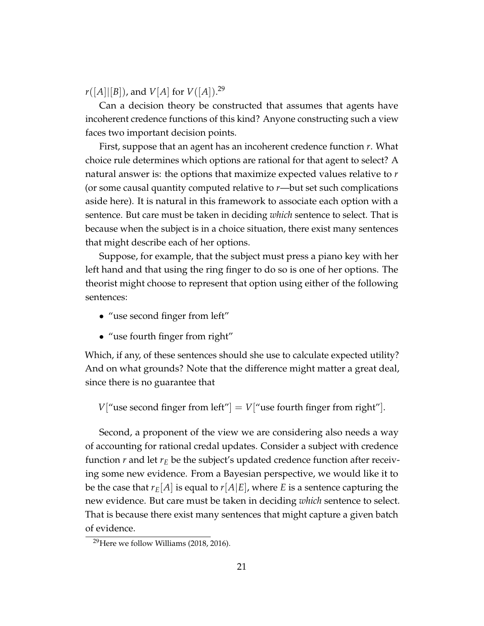$r([A] | [B])$ , and  $V[A]$  for  $V([A])$ .<sup>29</sup>

Can a decision theory be constructed that assumes that agents have incoherent credence functions of this kind? Anyone constructing such a view faces two important decision points.

First, suppose that an agent has an incoherent credence function *r*. What choice rule determines which options are rational for that agent to select? A natural answer is: the options that maximize expected values relative to *r* (or some causal quantity computed relative to *r*—but set such complications aside here). It is natural in this framework to associate each option with a sentence. But care must be taken in deciding *which* sentence to select. That is because when the subject is in a choice situation, there exist many sentences that might describe each of her options.

Suppose, for example, that the subject must press a piano key with her left hand and that using the ring finger to do so is one of her options. The theorist might choose to represent that option using either of the following sentences:

- "use second finger from left"
- "use fourth finger from right"

Which, if any, of these sentences should she use to calculate expected utility? And on what grounds? Note that the difference might matter a great deal, since there is no guarantee that

*V*["use second finger from left"] = *V*["use fourth finger from right"].

Second, a proponent of the view we are considering also needs a way of accounting for rational credal updates. Consider a subject with credence function *r* and let *r<sup>E</sup>* be the subject's updated credence function after receiving some new evidence. From a Bayesian perspective, we would like it to be the case that  $r_E[A]$  is equal to  $r[A|E]$ , where *E* is a sentence capturing the new evidence. But care must be taken in deciding *which* sentence to select. That is because there exist many sentences that might capture a given batch of evidence.

 $29$ Here we follow Williams (2018, 2016).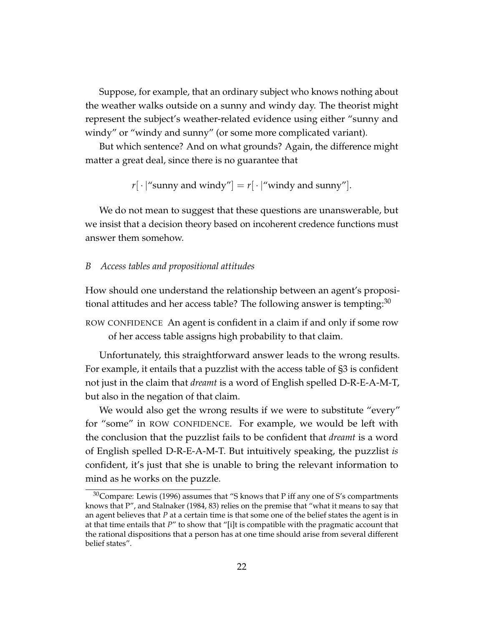Suppose, for example, that an ordinary subject who knows nothing about the weather walks outside on a sunny and windy day. The theorist might represent the subject's weather-related evidence using either "sunny and windy" or "windy and sunny" (or some more complicated variant).

But which sentence? And on what grounds? Again, the difference might matter a great deal, since there is no guarantee that

 $r[\cdot]'$  sunny and windy" =  $r[\cdot]'$  windy and sunny" |.

We do not mean to suggest that these questions are unanswerable, but we insist that a decision theory based on incoherent credence functions must answer them somehow.

### *B Access tables and propositional attitudes*

How should one understand the relationship between an agent's propositional attitudes and her access table? The following answer is tempting:  $30$ 

ROW CONFIDENCE An agent is confident in a claim if and only if some row of her access table assigns high probability to that claim.

Unfortunately, this straightforward answer leads to the wrong results. For example, it entails that a puzzlist with the access table of §3 is confident not just in the claim that *dreamt* is a word of English spelled D-R-E-A-M-T, but also in the negation of that claim.

We would also get the wrong results if we were to substitute "every" for "some" in ROW CONFIDENCE. For example, we would be left with the conclusion that the puzzlist fails to be confident that *dreamt* is a word of English spelled D-R-E-A-M-T. But intuitively speaking, the puzzlist *is* confident, it's just that she is unable to bring the relevant information to mind as he works on the puzzle.

 $30$ Compare: Lewis (1996) assumes that "S knows that P iff any one of S's compartments knows that P", and Stalnaker (1984, 83) relies on the premise that "what it means to say that an agent believes that *P* at a certain time is that some one of the belief states the agent is in at that time entails that *P*" to show that "[i]t is compatible with the pragmatic account that the rational dispositions that a person has at one time should arise from several different belief states".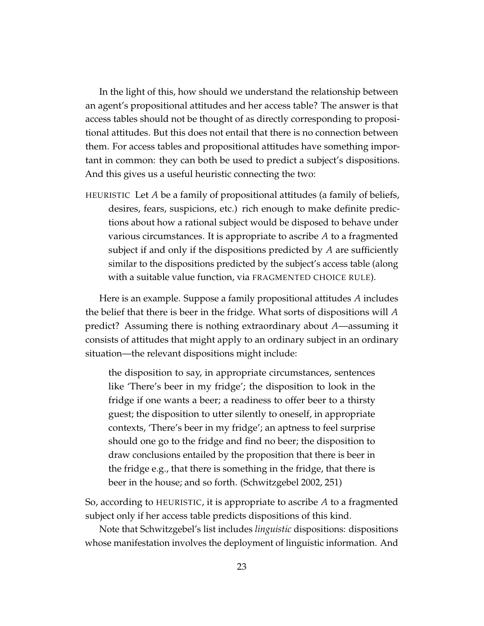In the light of this, how should we understand the relationship between an agent's propositional attitudes and her access table? The answer is that access tables should not be thought of as directly corresponding to propositional attitudes. But this does not entail that there is no connection between them. For access tables and propositional attitudes have something important in common: they can both be used to predict a subject's dispositions. And this gives us a useful heuristic connecting the two:

HEURISTIC Let *A* be a family of propositional attitudes (a family of beliefs, desires, fears, suspicions, etc.) rich enough to make definite predictions about how a rational subject would be disposed to behave under various circumstances. It is appropriate to ascribe *A* to a fragmented subject if and only if the dispositions predicted by *A* are sufficiently similar to the dispositions predicted by the subject's access table (along with a suitable value function, via FRAGMENTED CHOICE RULE).

Here is an example. Suppose a family propositional attitudes *A* includes the belief that there is beer in the fridge. What sorts of dispositions will *A* predict? Assuming there is nothing extraordinary about *A*—assuming it consists of attitudes that might apply to an ordinary subject in an ordinary situation—the relevant dispositions might include:

the disposition to say, in appropriate circumstances, sentences like 'There's beer in my fridge'; the disposition to look in the fridge if one wants a beer; a readiness to offer beer to a thirsty guest; the disposition to utter silently to oneself, in appropriate contexts, 'There's beer in my fridge'; an aptness to feel surprise should one go to the fridge and find no beer; the disposition to draw conclusions entailed by the proposition that there is beer in the fridge e.g., that there is something in the fridge, that there is beer in the house; and so forth. (Schwitzgebel 2002, 251)

So, according to HEURISTIC, it is appropriate to ascribe *A* to a fragmented subject only if her access table predicts dispositions of this kind.

Note that Schwitzgebel's list includes *linguistic* dispositions: dispositions whose manifestation involves the deployment of linguistic information. And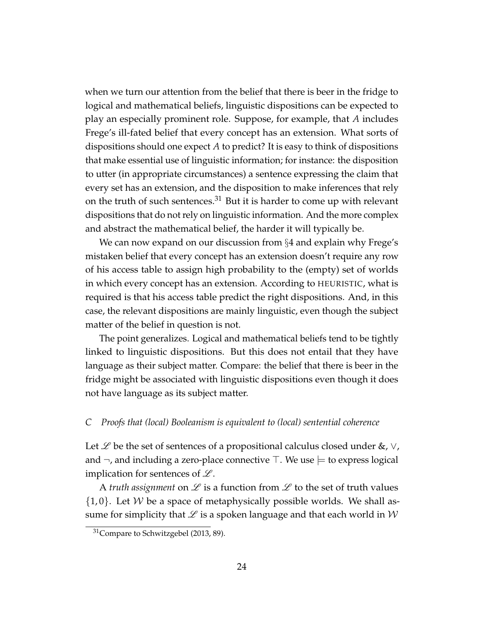when we turn our attention from the belief that there is beer in the fridge to logical and mathematical beliefs, linguistic dispositions can be expected to play an especially prominent role. Suppose, for example, that *A* includes Frege's ill-fated belief that every concept has an extension. What sorts of dispositions should one expect *A* to predict? It is easy to think of dispositions that make essential use of linguistic information; for instance: the disposition to utter (in appropriate circumstances) a sentence expressing the claim that every set has an extension, and the disposition to make inferences that rely on the truth of such sentences. $31$  But it is harder to come up with relevant dispositions that do not rely on linguistic information. And the more complex and abstract the mathematical belief, the harder it will typically be.

We can now expand on our discussion from §4 and explain why Frege's mistaken belief that every concept has an extension doesn't require any row of his access table to assign high probability to the (empty) set of worlds in which every concept has an extension. According to HEURISTIC, what is required is that his access table predict the right dispositions. And, in this case, the relevant dispositions are mainly linguistic, even though the subject matter of the belief in question is not.

The point generalizes. Logical and mathematical beliefs tend to be tightly linked to linguistic dispositions. But this does not entail that they have language as their subject matter. Compare: the belief that there is beer in the fridge might be associated with linguistic dispositions even though it does not have language as its subject matter.

## *C Proofs that (local) Booleanism is equivalent to (local) sentential coherence*

Let  $\mathscr L$  be the set of sentences of a propositional calculus closed under &,  $\vee$ , and  $\neg$ , and including a zero-place connective  $\top$ . We use  $\models$  to express logical implication for sentences of  $\mathscr{L}.$ 

A *truth assignment* on  $\mathscr L$  is a function from  $\mathscr L$  to the set of truth values  $\{1,0\}$ . Let W be a space of metaphysically possible worlds. We shall assume for simplicity that  $\mathscr L$  is a spoken language and that each world in  $\mathcal W$ 

<sup>&</sup>lt;sup>31</sup>Compare to Schwitzgebel (2013, 89).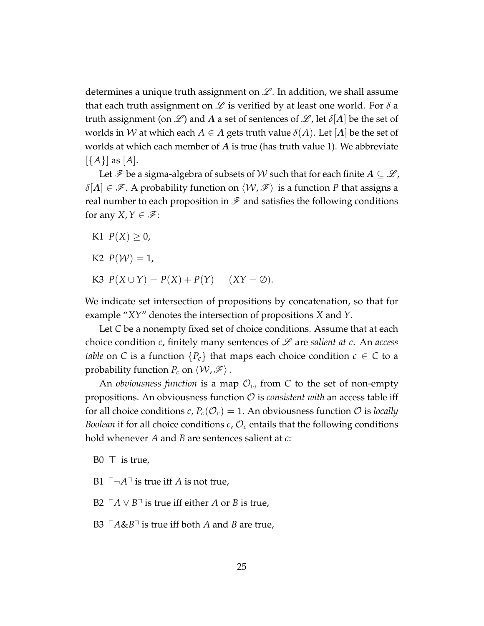determines a unique truth assignment on  $\mathscr{L}$ . In addition, we shall assume that each truth assignment on  $\mathscr L$  is verified by at least one world. For  $\delta$  a truth assignment (on  $\mathscr{L}$ ) and A a set of sentences of  $\mathscr{L}$ , let  $\delta[A]$  be the set of worlds in W at which each  $A \in A$  gets truth value  $\delta(A)$ . Let [A] be the set of worlds at which each member of *A* is true (has truth value 1). We abbreviate [{*A*}] as [*A*].

Let  $\mathscr F$  be a sigma-algebra of subsets of  $\mathcal W$  such that for each finite  $A \subseteq \mathscr L$ ,  $\delta[A] \in \mathscr{F}$ . A probability function on  $\langle W, \mathscr{F} \rangle$  is a function *P* that assigns a real number to each proposition in  $\mathscr F$  and satisfies the following conditions for any *X*,  $Y \in \mathscr{F}$ :

- K1  $P(X) > 0$ ,
- K2  $P(W) = 1$ ,
- K3  $P(X \cup Y) = P(X) + P(Y)$  (*XY* = ∅).

We indicate set intersection of propositions by concatenation, so that for example "*XY*" denotes the intersection of propositions *X* and *Y*.

Let *C* be a nonempty fixed set of choice conditions. Assume that at each choice condition *c*, finitely many sentences of L are *salient at c*. An *access table* on *C* is a function  ${P_c}$  that maps each choice condition  $c \in C$  to a probability function  $P_c$  on  $\langle W, \mathcal{F} \rangle$ .

An *obviousness function* is a map  $\mathcal{O}_{\scriptscriptstyle{(\cdot)}}$  from C to the set of non-empty propositions. An obviousness function O is *consistent with* an access table iff for all choice conditions *c*,  $P_c(\mathcal{O}_c) = 1$ . An obviousness function  $\mathcal O$  is *locally Boolean* if for all choice conditions  $c$ ,  $\mathcal{O}_c$  entails that the following conditions hold whenever *A* and *B* are sentences salient at *c*:

- $B0 \perp$  is true,
- B1  $\ulcorner\neg A\urcorner$  is true iff *A* is not true,
- B2  $\Gamma$ *A* ∨ *B* $\Gamma$  is true iff either *A* or *B* is true,
- B3  $\Gamma A \& B \rceil$  is true iff both *A* and *B* are true,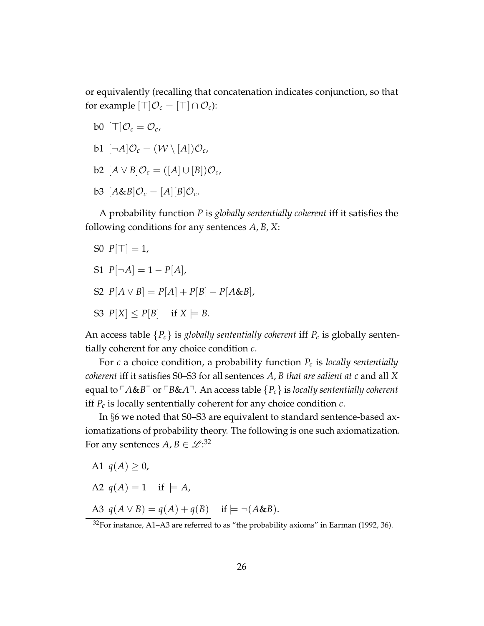or equivalently (recalling that concatenation indicates conjunction, so that for example  $|\top|\mathcal{O}_c = |\top| \cap \mathcal{O}_c$ :

- b0  $[T]\mathcal{O}_c = \mathcal{O}_c$
- $b1 \left[ \neg A \middle| \mathcal{O}_c = (\mathcal{W} \setminus [A]) \mathcal{O}_c$
- $b2$   $[A \vee B]$  $\mathcal{O}_c = ([A] \cup [B]) \mathcal{O}_c$ ,
- $b3$   $[A&B]\mathcal{O}_c = [A][B]\mathcal{O}_c$ .

A probability function *P* is *globally sententially coherent* iff it satisfies the following conditions for any sentences *A*, *B*, *X*:

- S0  $P[T] = 1$ ,
- $S1$   $P[\neg A] = 1 P[A],$
- $S2 P[A \vee B] = P[A] + P[B] P[A \& B],$
- S3  $P[X] \leq P[B]$  if  $X \models B$ .

An access table  ${P_c}$  is *globally sententially coherent* iff  $P_c$  is globally sententially coherent for any choice condition *c*.

For *c* a choice condition, a probability function *P<sup>c</sup>* is *locally sententially coherent* iff it satisfies S0–S3 for all sentences *A*, *B that are salient at c* and all *X* equal to  $\ulcorner A$ &*B* $\urcorner$  or  $\ulcorner B$ &*A* $\urcorner$ . An access table  ${P_c}$  is *locally sententially coherent* iff *P<sup>c</sup>* is locally sententially coherent for any choice condition *c*.

In §6 we noted that S0–S3 are equivalent to standard sentence-based axiomatizations of probability theory. The following is one such axiomatization. For any sentences  $A,B\in\mathscr{L}^{.32}$ 

- A1  $q(A) > 0$ ,
- A2  $q(A) = 1$  if  $= A$ ,

A3  $q(A \vee B) = q(A) + q(B)$  if  $\models \neg(A \& B)$ .

 $32$ For instance, A1–A3 are referred to as "the probability axioms" in Earman (1992, 36).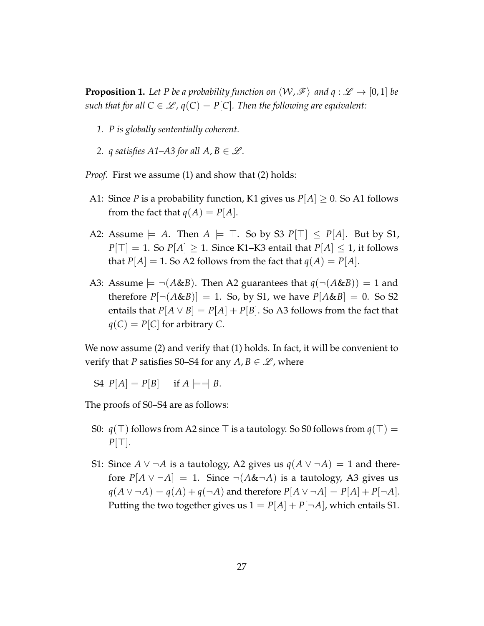**Proposition 1.** Let P be a probability function on  $\langle W, \mathcal{F} \rangle$  and  $q : \mathcal{L} \to [0, 1]$  be *such that for all*  $C \in \mathcal{L}$ ,  $q(C) = P[C]$ . Then the following are equivalent:

- *1. P is globally sententially coherent.*
- 2. *q* satisfies A1–A3 for all  $A, B \in \mathcal{L}$ .

*Proof.* First we assume (1) and show that (2) holds:

- A1: Since *P* is a probability function, K1 gives us  $P[A] \geq 0$ . So A1 follows from the fact that  $q(A) = P[A]$ .
- A2: Assume  $\models A$ . Then  $A \models \top$ . So by S3  $P[\top] \leq P[A]$ . But by S1,  $P[T] = 1$ . So  $P[A] \geq 1$ . Since K1–K3 entail that  $P[A] \leq 1$ , it follows that  $P[A] = 1$ . So A2 follows from the fact that  $q(A) = P[A]$ .
- A3: Assume  $\models \neg(A\&B)$ . Then A2 guarantees that  $q(\neg(A\&B)) = 1$  and therefore  $P[\neg(A\&B)]=1$ . So, by S1, we have  $P[A\&B]=0$ . So S2 entails that  $P[A \vee B] = P[A] + P[B]$ . So A3 follows from the fact that  $q(C) = P[C]$  for arbitrary *C*.

We now assume (2) and verify that (1) holds. In fact, it will be convenient to verify that *P* satisfies S0–S4 for any  $A, B \in \mathcal{L}$ , where

S4  $P[A] = P[B]$  if  $A \models = B$ .

The proofs of S0–S4 are as follows:

- S0:  $q(\top)$  follows from A2 since  $\top$  is a tautology. So S0 follows from  $q(\top)$  =  $P[\top]$ .
- S1: Since *A* ∨ ¬*A* is a tautology, A2 gives us  $q(A \lor \neg A) = 1$  and therefore  $P[A \vee \neg A] = 1$ . Since  $\neg(A \& \neg A)$  is a tautology, A3 gives us  $q(A \vee \neg A) = q(A) + q(\neg A)$  and therefore  $P[A \vee \neg A] = P[A] + P[\neg A]$ . Putting the two together gives us  $1 = P[A] + P[\neg A]$ , which entails S1.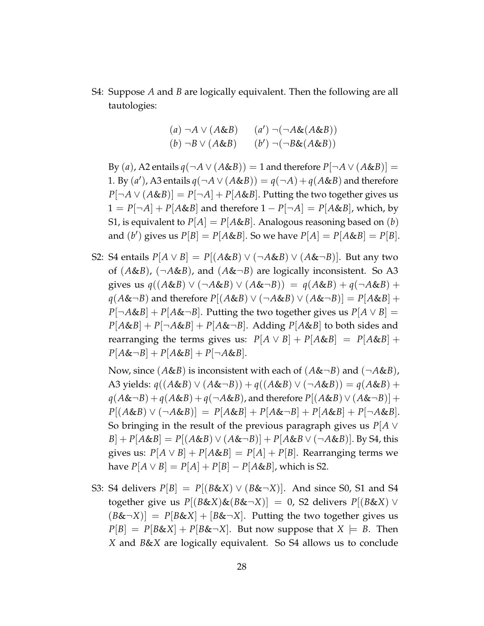S4: Suppose *A* and *B* are logically equivalent. Then the following are all tautologies:

$$
(a) \neg A \lor (A \& B) \qquad (a') \neg (\neg A \& (A \& B))
$$

$$
(b) \neg B \lor (A \& B) \qquad (b') \neg (\neg B \& (A \& B))
$$

By (*a*), A2 entails  $q(\neg A \lor (A \& B)) = 1$  and therefore  $P[\neg A \lor (A \& B)] =$ 1. By  $(a')$ , A3 entails  $q(\neg A \lor (A \& B)) = q(\neg A) + q(A \& B)$  and therefore  $P[\neg A \lor (A \& B)] = P[\neg A] + P[A \& B]$ . Putting the two together gives us  $1 = P[\neg A] + P[A \& B]$  and therefore  $1 - P[\neg A] = P[A \& B]$ , which, by S1, is equivalent to  $P[A] = P[A&B]$ . Analogous reasoning based on (*b*) and  $(b')$  gives us  $P[B] = P[A \& B]$ . So we have  $P[A] = P[A \& B] = P[B]$ .

S2: S4 entails  $P[A \vee B] = P[(A \& B) \vee (\neg A \& B) \vee (A \& \neg B)]$ . But any two of (*A*&*B*), (¬*A*&*B*), and (*A*&¬*B*) are logically inconsistent. So A3 gives us  $q((A\&B) \vee (\neg A\&B) \vee (A\&\neg B)) = q(A\&B) + q(\neg A\&B) +$ *q*(*A*&¬*B*) and therefore  $P[(A&B) ∨ (¬A&B) ∨ (A&¬B)] = P[A&B] +$  $P[\neg A \& B] + P[A \& \neg B]$ . Putting the two together gives us  $P[A \lor B] =$  $P[A&B] + P[\neg A&B] + P[A&¬B]$ . Adding  $P[A&B]$  to both sides and rearranging the terms gives us:  $P[A \vee B] + P[A \& B] = P[A \& B] + P[A \& B]$  $P[A\&\neg B] + P[A\&B] + P[\neg A\&B].$ 

Now, since  $(A\&B)$  is inconsistent with each of  $(A\&\neg B)$  and  $(\neg A\&B)$ , A3 yields:  $q((A&B) ∨ (A&¬B)) + q((A&B) ∨ (¬A&B)) = q(A&B) +$  $q(A\&\neg B) + q(A\&B) + q(\neg A\&B)$ , and therefore  $P[(A\&B) \vee (A\&\neg B)] +$  $P[(A \& B) \lor (\neg A \& B)] = P[A \& B] + P[A \& \neg B] + P[A \& B] + P[\neg A \& B].$ So bringing in the result of the previous paragraph gives us *P*[*A* ∨  $B$ | + *P*[ $A$ & $B$ ] = *P*[ $(A$ & $B)$   $\vee$   $(A$ & $\neg B)$ ] + *P*[ $A$ & $B$   $\vee$   $(\neg A \& B)$ ]. By S4, this gives us:  $P[A \vee B] + P[A \& B] = P[A] + P[B]$ . Rearranging terms we have  $P[A ∨ B] = P[A] + P[B] - P[A&B]$ , which is S2.

S3: S4 delivers  $P[B] = P[(B\&X) \vee (B\&\neg X)]$ . And since S0, S1 and S4 together give us  $P[(B\&X)\&(B\&\neg X)] = 0$ , S2 delivers  $P[(B\&X) \vee$  $(B&\leftarrow X)$ ] =  $P[B&\&X] + [B&\leftarrow X]$ . Putting the two together gives us  $P[B] = P[B \& X] + P[B \& \neg X]$ . But now suppose that  $X \models B$ . Then *X* and *B*&*X* are logically equivalent. So S4 allows us to conclude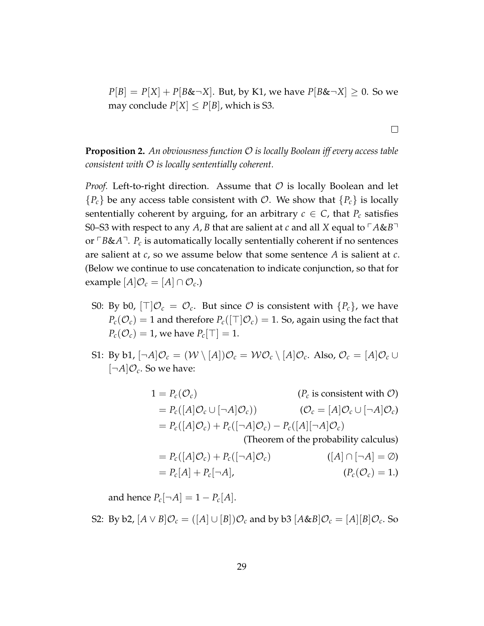$P[B] = P[X] + P[B\& \neg X]$ . But, by K1, we have  $P[B\& \neg X] \geq 0$ . So we may conclude  $P[X] \leq P[B]$ , which is S3.

**Proposition 2.** *An obviousness function* O *is locally Boolean iff every access table consistent with* O *is locally sententially coherent.*

*Proof.* Left-to-right direction. Assume that  $\mathcal O$  is locally Boolean and let  ${P_c}$  be any access table consistent with  $O$ . We show that  ${P_c}$  is locally sententially coherent by arguing, for an arbitrary  $c \in C$ , that  $P_c$  satisfies S0–S3 with respect to any *A*, *B* that are salient at *c* and all *X* equal to  $\ulcorner A\&B\urcorner$ or  $\ulcorner B\&A\urcorner$ . *P<sub>c</sub>* is automatically locally sententially coherent if no sentences are salient at *c*, so we assume below that some sentence *A* is salient at *c*. (Below we continue to use concatenation to indicate conjunction, so that for example  $[A]\mathcal{O}_c = [A] \cap \mathcal{O}_c$ .)

- S0: By b0,  $[\top] \mathcal{O}_c = \mathcal{O}_c$ . But since  $\mathcal O$  is consistent with  $\{P_c\}$ , we have  $P_c(\mathcal{O}_c) = 1$  and therefore  $P_c(\lceil \top | \mathcal{O}_c) = 1$ . So, again using the fact that  $P_c(\mathcal{O}_c) = 1$ , we have  $P_c[\top] = 1$ .
- S1: By b1,  $[\neg A]\mathcal{O}_c = (\mathcal{W}\setminus [A])\mathcal{O}_c = \mathcal{W}\mathcal{O}_c\setminus [A]\mathcal{O}_c$ . Also,  $\mathcal{O}_c = [A]\mathcal{O}_c \cup$  $[\neg A] \mathcal{O}_c$ . So we have:

$$
1 = P_c(\mathcal{O}_c)
$$
 ( $P_c$  is consistent with  $\mathcal{O}$ )  
\n
$$
= P_c([A]\mathcal{O}_c \cup [\neg A]\mathcal{O}_c)
$$
 ( $\mathcal{O}_c = [A]\mathcal{O}_c \cup [\neg A]\mathcal{O}_c$ )  
\n
$$
= P_c([A]\mathcal{O}_c) + P_c([\neg A]\mathcal{O}_c) - P_c([A][\neg A]\mathcal{O}_c)
$$
 (Theorem of the probability calculus)  
\n
$$
= P_c([A]\mathcal{O}_c) + P_c([\neg A]\mathcal{O}_c)
$$
 ( $[A]\cap [\neg A] = \emptyset$ )

$$
= P_c[A] + P_c[\neg A], \qquad (P_c(\mathcal{O}_c) = 1.)
$$

and hence  $P_c[\neg A] = 1 - P_c[A].$ 

S2: By b2,  $[A \vee B] \mathcal{O}_c = ([A] \cup [B]) \mathcal{O}_c$  and by b3  $[A \& B] \mathcal{O}_c = [A][B] \mathcal{O}_c$ . So

 $\Box$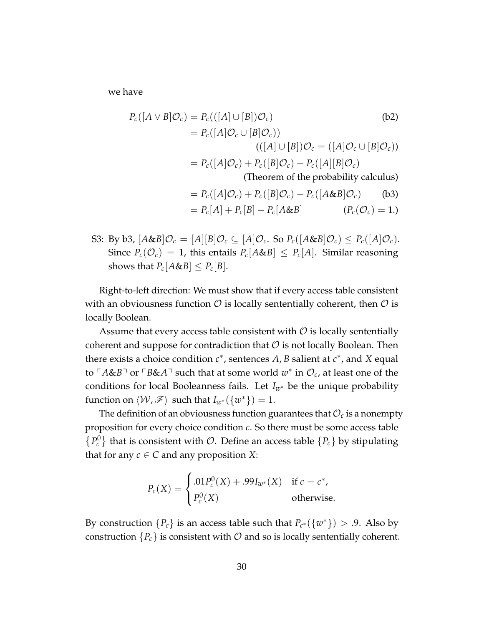we have

$$
P_c([A \vee B] \mathcal{O}_c) = P_c(([A] \cup [B]) \mathcal{O}_c)
$$
\n
$$
= P_c([A] \mathcal{O}_c \cup [B] \mathcal{O}_c)
$$
\n
$$
= ( [A] \cup [B] ) \mathcal{O}_c = ([A] \mathcal{O}_c \cup [B] \mathcal{O}_c)
$$
\n
$$
= P_c([A] \mathcal{O}_c) + P_c([B] \mathcal{O}_c) - P_c([A][B] \mathcal{O}_c)
$$
\n(Theorem of the probability calculus)

\n
$$
= P_c([A] \mathcal{O}_c) + P_c([B] \mathcal{O}_c) - P_c([A \& B] \mathcal{O}_c)
$$
\n(b3)

$$
= P_c[A] + P_c[B] - P_c[A\&B]
$$
  $(P_c(\mathcal{O}_c) = 1.)$ 

S3: By b3,  $[A \& B] \mathcal{O}_c = [A][B] \mathcal{O}_c \subseteq [A] \mathcal{O}_c$ . So  $P_c([A \& B] \mathcal{O}_c) \leq P_c([A] \mathcal{O}_c)$ . Since  $P_c(\mathcal{O}_c) = 1$ , this entails  $P_c[A\&B] \leq P_c[A]$ . Similar reasoning shows that  $P_c[A\&B] \leq P_c[B]$ .

Right-to-left direction: We must show that if every access table consistent with an obviousness function  $\mathcal O$  is locally sententially coherent, then  $\mathcal O$  is locally Boolean.

Assume that every access table consistent with  $\mathcal O$  is locally sententially coherent and suppose for contradiction that  $\mathcal O$  is not locally Boolean. Then there exists a choice condition  $c^*$ , sentences A, B salient at  $c^*$ , and X equal to  $\ulcorner A$ &*B* $\urcorner$  or  $\ulcorner B$ &*A* $\urcorner$  such that at some world  $w^*$  in  $\mathcal{O}_c$ , at least one of the conditions for local Booleanness fails. Let *Iw*<sup>∗</sup> be the unique probability function on  $\langle W, \mathscr{F} \rangle$  such that  $I_{w^*}(\{w^*\}) = 1$ .

The definition of an obviousness function guarantees that  $\mathcal{O}_c$  is a nonempty proposition for every choice condition *c*. So there must be some access table  ${P_c^0}$  that is consistent with  $O$ . Define an access table  ${P_c}$  by stipulating that for any  $c \in C$  and any proposition *X*:

$$
P_c(X) = \begin{cases} .01P_c^0(X) + .99I_{w^*}(X) & \text{if } c = c^*, \\ P_c^0(X) & \text{otherwise.} \end{cases}
$$

By construction  ${P_c}$  is an access table such that  $P_{c^*}({w^*}) > .9$ . Also by construction  $\{P_c\}$  is consistent with  $\mathcal O$  and so is locally sententially coherent.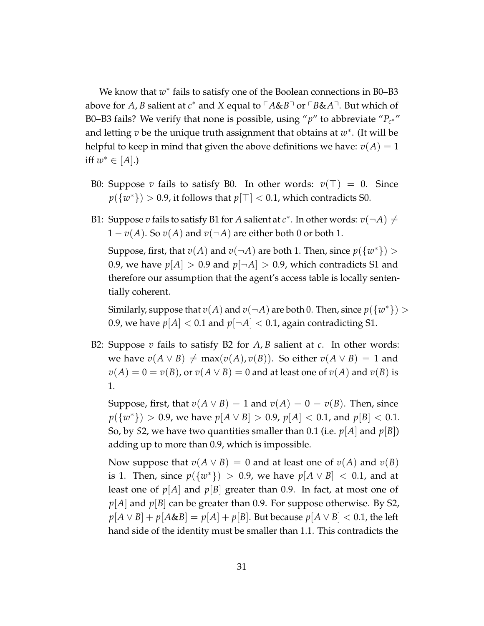We know that  $w^*$  fails to satisfy one of the Boolean connections in B0–B3 above for *A, B* salient at *c*<sup>∗</sup> and *X* equal to <sup>г</sup>A&*B*<sup>¬</sup> or <sup>г</sup>B&*A*<sup>¬</sup>. But which of B0–B3 fails? We verify that none is possible, using "*p*" to abbreviate "*P<sup>c</sup>* ∗ " and letting *v* be the unique truth assignment that obtains at *w*<sup>∗</sup>. (It will be helpful to keep in mind that given the above definitions we have:  $v(A) = 1$ iff  $w^*$  ∈ [A].)

- B0: Suppose *v* fails to satisfy B0. In other words:  $v(\top) = 0$ . Since  $p(\{w^*\}) > 0.9$ , it follows that  $p[\top] < 0.1$ , which contradicts S0.
- B1: Suppose  $v$  fails to satisfy B1 for  $A$  salient at  $c^*$ . In other words:  $v(\neg A) \neq$  $1 - v(A)$ . So  $v(A)$  and  $v(\neg A)$  are either both 0 or both 1.

Suppose, first, that  $v(A)$  and  $v(\neg A)$  are both 1. Then, since  $p({w^*})$  > 0.9, we have  $p[A] > 0.9$  and  $p[\neg A] > 0.9$ , which contradicts S1 and therefore our assumption that the agent's access table is locally sententially coherent.

Similarly, suppose that  $v(A)$  and  $v(\neg A)$  are both 0. Then, since  $p({w^*}) >$ 0.9, we have  $p[A] < 0.1$  and  $p[\neg A] < 0.1$ , again contradicting S1.

B2: Suppose *v* fails to satisfy B2 for *A*, *B* salient at *c*. In other words: *we have*  $v(A \vee B) \neq max(v(A), v(B))$ *. So either*  $v(A \vee B) = 1$  and  $v(A) = 0 = v(B)$ , or  $v(A \vee B) = 0$  and at least one of  $v(A)$  and  $v(B)$  is 1.

Suppose, first, that  $v(A \vee B) = 1$  and  $v(A) = 0 = v(B)$ . Then, since *p*({*w*<sup>\*</sup>}) > 0.9, we have *p*[*A* ∨ *B*] > 0.9, *p*[*A*] < 0.1, and *p*[*B*] < 0.1. So, by *S*2, we have two quantities smaller than 0.1 (i.e.  $p[A]$  and  $p[B]$ ) adding up to more than 0.9, which is impossible.

Now suppose that  $v(A \vee B) = 0$  and at least one of  $v(A)$  and  $v(B)$ is 1. Then, since  $p({w^*}) > 0.9$ , we have  $p[A \vee B] < 0.1$ , and at least one of  $p[A]$  and  $p[B]$  greater than 0.9. In fact, at most one of *p*[*A*] and *p*[*B*] can be greater than 0.9. For suppose otherwise. By S2,  $p[A \vee B] + p[A \& B] = p[A] + p[B]$ . But because  $p[A \vee B] < 0.1$ , the left hand side of the identity must be smaller than 1.1. This contradicts the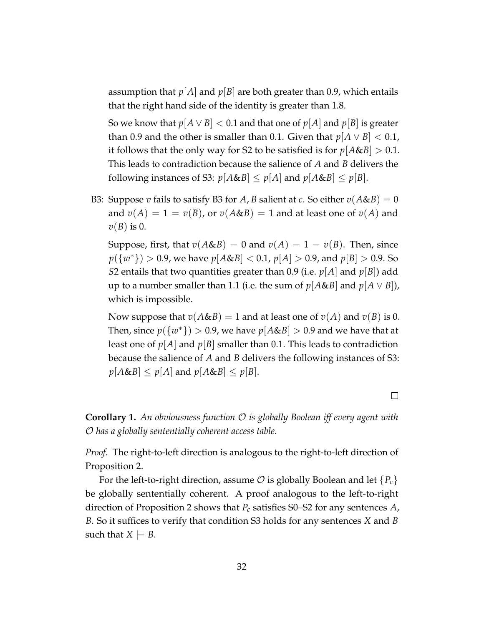assumption that  $p[A]$  and  $p[B]$  are both greater than 0.9, which entails that the right hand side of the identity is greater than 1.8.

So we know that  $p[A \vee B] < 0.1$  and that one of  $p[A]$  and  $p[B]$  is greater than 0.9 and the other is smaller than 0.1. Given that  $p[A \vee B] < 0.1$ , it follows that the only way for S2 to be satisfied is for  $p[A&B] > 0.1$ . This leads to contradiction because the salience of *A* and *B* delivers the following instances of S3:  $p[A&B] \leq p[A]$  and  $p[A&B] \leq p[B]$ .

B3: Suppose *v* fails to satisfy B3 for *A*, *B* salient at *c*. So either  $v(A\&B) = 0$ and  $v(A) = 1 = v(B)$ , or  $v(A \& B) = 1$  and at least one of  $v(A)$  and *v*(*B*) is 0.

Suppose, first, that  $v(A\&B) = 0$  and  $v(A) = 1 = v(B)$ . Then, since *p*({*w*<sup>\*</sup>}) > 0.9, we have *p*[*A*&*B*] < 0.1, *p*[*A*] > 0.9, and *p*[*B*] > 0.9. So *S*2 entails that two quantities greater than 0.9 (i.e.  $p[A]$  and  $p[B]$ ) add up to a number smaller than 1.1 (i.e. the sum of  $p[A\&B]$  and  $p[A \vee B]$ ), which is impossible.

Now suppose that  $v(A\&B) = 1$  and at least one of  $v(A)$  and  $v(B)$  is 0. Then, since  $p(\lbrace w^* \rbrace) > 0.9$ , we have  $p[A \& B] > 0.9$  and we have that at least one of  $p[A]$  and  $p[B]$  smaller than 0.1. This leads to contradiction because the salience of *A* and *B* delivers the following instances of S3:  $p[A\&B] \leq p[A]$  and  $p[A\&B] \leq p[B]$ .

 $\Box$ 

**Corollary 1.** *An obviousness function* O *is globally Boolean iff every agent with* O *has a globally sententially coherent access table.*

*Proof.* The right-to-left direction is analogous to the right-to-left direction of Proposition 2.

For the left-to-right direction, assume  $\mathcal O$  is globally Boolean and let  $\{P_c\}$ be globally sententially coherent. A proof analogous to the left-to-right direction of Proposition 2 shows that *P<sup>c</sup>* satisfies S0–S2 for any sentences *A*, *B*. So it suffices to verify that condition S3 holds for any sentences *X* and *B* such that  $X \models B$ .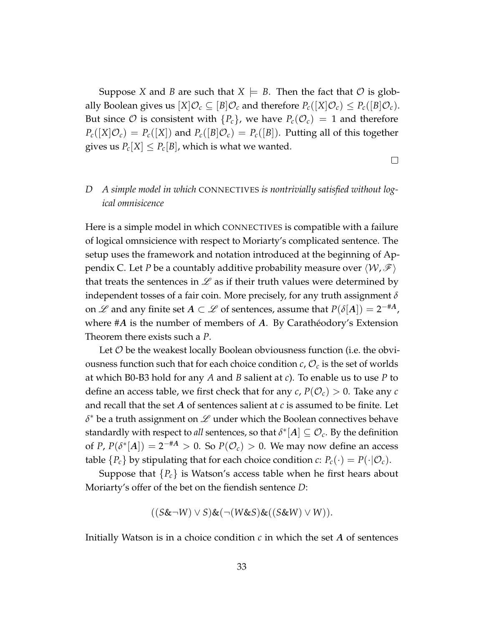Suppose *X* and *B* are such that  $X \models B$ . Then the fact that  $O$  is globally Boolean gives us  $[X]\mathcal{O}_c \subseteq [B]\mathcal{O}_c$  and therefore  $P_c([X]\mathcal{O}_c) \leq P_c([B]\mathcal{O}_c)$ . But since  $\mathcal O$  is consistent with  $\{P_c\}$ , we have  $P_c(\mathcal O_c) = 1$  and therefore  $P_c([X|\mathcal{O}_c) = P_c([X])$  and  $P_c([B|\mathcal{O}_c) = P_c([B])$ . Putting all of this together gives us  $P_c[X] \leq P_c[B]$ , which is what we wanted.

 $\Box$ 

# *D A simple model in which* CONNECTIVES *is nontrivially satisfied without logical omnisicence*

Here is a simple model in which CONNECTIVES is compatible with a failure of logical omnsicience with respect to Moriarty's complicated sentence. The setup uses the framework and notation introduced at the beginning of Appendix C. Let *P* be a countably additive probability measure over  $\langle W, \mathcal{F} \rangle$ that treats the sentences in  $\mathscr L$  as if their truth values were determined by independent tosses of a fair coin. More precisely, for any truth assignment *δ* on  $\mathscr L$  and any finite set  $A \subset \mathscr L$  of sentences, assume that  $P(\delta[A]) = 2^{-\#A}$ , where  $#A$  is the number of members of  $A$ . By Caratheodory's Extension Theorem there exists such a *P*.

Let  $\mathcal O$  be the weakest locally Boolean obviousness function (i.e. the obviousness function such that for each choice condition  $c$ ,  $\mathcal{O}_c$  is the set of worlds at which B0-B3 hold for any *A* and *B* salient at *c*). To enable us to use *P* to define an access table, we first check that for any  $c$ ,  $P(\mathcal{O}_c) > 0$ . Take any  $c$ and recall that the set *A* of sentences salient at *c* is assumed to be finite. Let  $\delta^*$  be a truth assignment on  ${\mathscr L}$  under which the Boolean connectives behave standardly with respect to *all* sentences, so that  $\delta^*[A] \subseteq \mathcal{O}_c$ . By the definition of *P*,  $P(\delta^*[A]) = 2^{-H}A > 0$ . So  $P(\mathcal{O}_c) > 0$ . We may now define an access table  ${P_c}$  by stipulating that for each choice condition *c*:  $P_c(\cdot) = P(\cdot | \mathcal{O}_c)$ .

Suppose that  ${P_c}$  is Watson's access table when he first hears about Moriarty's offer of the bet on the fiendish sentence *D*:

$$
((S\&\neg W)\vee S)\&(\neg(W\&S)\&((S\&W)\vee W)).
$$

Initially Watson is in a choice condition *c* in which the set *A* of sentences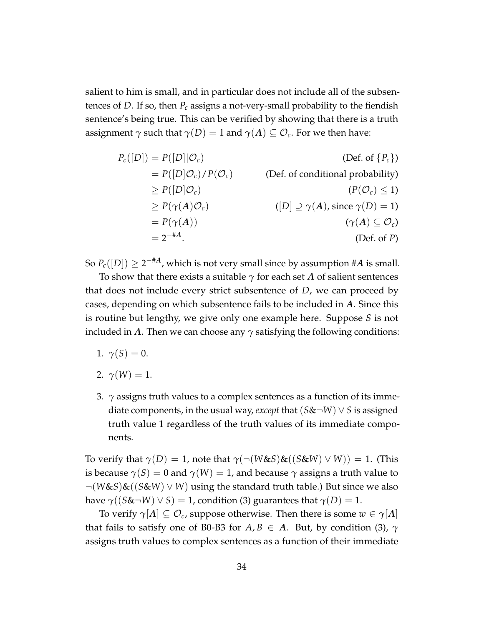salient to him is small, and in particular does not include all of the subsentences of *D*. If so, then *P<sup>c</sup>* assigns a not-very-small probability to the fiendish sentence's being true. This can be verified by showing that there is a truth assignment  $\gamma$  such that  $\gamma(D) = 1$  and  $\gamma(A) \subseteq \mathcal{O}_c$ . For we then have:

$$
P_c([D]) = P([D] | O_c)
$$
 (Def. of { $P_c$ })  
\n
$$
= P([D] O_c) / P(O_c)
$$
 (Def. of conditional probability)  
\n
$$
\ge P([D] O_c)
$$
 (Def. of conditional probability)  
\n
$$
\ge P(\gamma(A) O_c)
$$
 ([ $D$ ]  $\supseteq \gamma(A)$ , since  $\gamma(D) = 1$ )  
\n
$$
= P(\gamma(A))
$$
 ( $\gamma(A) \subseteq O_c$ )  
\n
$$
= 2^{-\#A}.
$$
 (Def. of  $P$ )

So  $P_c([D])\geq 2^{-\#A}$ , which is not very small since by assumption #A is small.

To show that there exists a suitable  $\gamma$  for each set *A* of salient sentences that does not include every strict subsentence of *D*, we can proceed by cases, depending on which subsentence fails to be included in *A*. Since this is routine but lengthy, we give only one example here. Suppose *S* is not included in *A*. Then we can choose any *γ* satisfying the following conditions:

- 1.  $\gamma(S) = 0$ .
- 2.  $\gamma(W) = 1$ .
- 3.  $\gamma$  assigns truth values to a complex sentences as a function of its immediate components, in the usual way, *except* that (*S*&¬*W*) ∨ *S* is assigned truth value 1 regardless of the truth values of its immediate components.

To verify that  $\gamma(D) = 1$ , note that  $\gamma(\neg(W \& S) \& ((S \& W) \lor W)) = 1$ . (This is because  $\gamma(S) = 0$  and  $\gamma(W) = 1$ , and because  $\gamma$  assigns a truth value to ¬(*W*&*S*)&((*S*&*W*) ∨ *W*) using the standard truth table.) But since we also have  $\gamma((S\&\neg W)\vee S) = 1$ , condition (3) guarantees that  $\gamma(D) = 1$ .

To verify  $\gamma[A] \subseteq \mathcal{O}_c$ , suppose otherwise. Then there is some  $w \in \gamma[A]$ that fails to satisfy one of B0-B3 for  $A, B \in A$ . But, by condition (3),  $\gamma$ assigns truth values to complex sentences as a function of their immediate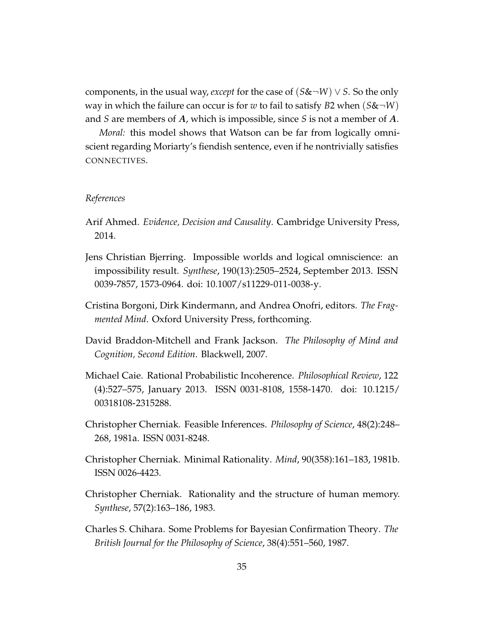components, in the usual way, *except* for the case of  $(S\&\neg W) \vee S$ . So the only way in which the failure can occur is for *w* to fail to satisfy *B*2 when (*S*&¬*W*) and *S* are members of *A*, which is impossible, since *S* is not a member of *A*.

*Moral:* this model shows that Watson can be far from logically omniscient regarding Moriarty's fiendish sentence, even if he nontrivially satisfies CONNECTIVES.

### *References*

- Arif Ahmed. *Evidence, Decision and Causality*. Cambridge University Press, 2014.
- Jens Christian Bjerring. Impossible worlds and logical omniscience: an impossibility result. *Synthese*, 190(13):2505–2524, September 2013. ISSN 0039-7857, 1573-0964. doi: 10.1007/s11229-011-0038-y.
- Cristina Borgoni, Dirk Kindermann, and Andrea Onofri, editors. *The Fragmented Mind*. Oxford University Press, forthcoming.
- David Braddon-Mitchell and Frank Jackson. *The Philosophy of Mind and Cognition, Second Edition*. Blackwell, 2007.
- Michael Caie. Rational Probabilistic Incoherence. *Philosophical Review*, 122 (4):527–575, January 2013. ISSN 0031-8108, 1558-1470. doi: 10.1215/ 00318108-2315288.
- Christopher Cherniak. Feasible Inferences. *Philosophy of Science*, 48(2):248– 268, 1981a. ISSN 0031-8248.
- Christopher Cherniak. Minimal Rationality. *Mind*, 90(358):161–183, 1981b. ISSN 0026-4423.
- Christopher Cherniak. Rationality and the structure of human memory. *Synthese*, 57(2):163–186, 1983.
- Charles S. Chihara. Some Problems for Bayesian Confirmation Theory. *The British Journal for the Philosophy of Science*, 38(4):551–560, 1987.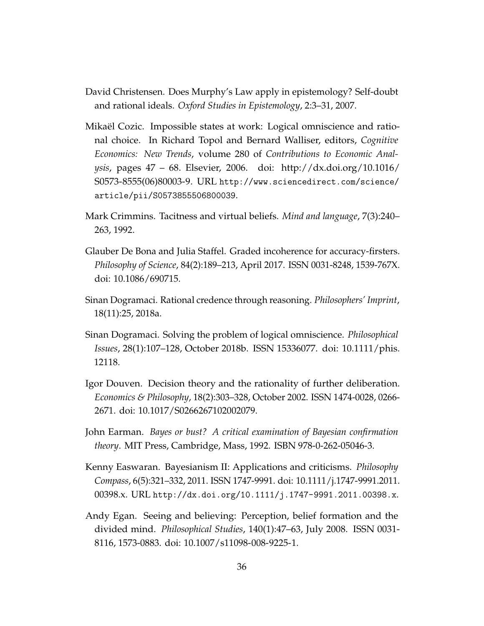- David Christensen. Does Murphy's Law apply in epistemology? Self-doubt and rational ideals. *Oxford Studies in Epistemology*, 2:3–31, 2007.
- Mikael Cozic. Impossible states at work: Logical omniscience and ratio- ¨ nal choice. In Richard Topol and Bernard Walliser, editors, *Cognitive Economics: New Trends*, volume 280 of *Contributions to Economic Analysis*, pages 47 – 68. Elsevier, 2006. doi: http://dx.doi.org/10.1016/ S0573-8555(06)80003-9. URL http://www.sciencedirect.com/science/ article/pii/S0573855506800039.
- Mark Crimmins. Tacitness and virtual beliefs. *Mind and language*, 7(3):240– 263, 1992.
- Glauber De Bona and Julia Staffel. Graded incoherence for accuracy-firsters. *Philosophy of Science*, 84(2):189–213, April 2017. ISSN 0031-8248, 1539-767X. doi: 10.1086/690715.
- Sinan Dogramaci. Rational credence through reasoning. *Philosophers' Imprint*, 18(11):25, 2018a.
- Sinan Dogramaci. Solving the problem of logical omniscience. *Philosophical Issues*, 28(1):107–128, October 2018b. ISSN 15336077. doi: 10.1111/phis. 12118.
- Igor Douven. Decision theory and the rationality of further deliberation. *Economics & Philosophy*, 18(2):303–328, October 2002. ISSN 1474-0028, 0266- 2671. doi: 10.1017/S0266267102002079.
- John Earman. *Bayes or bust? A critical examination of Bayesian confirmation theory*. MIT Press, Cambridge, Mass, 1992. ISBN 978-0-262-05046-3.
- Kenny Easwaran. Bayesianism II: Applications and criticisms. *Philosophy Compass*, 6(5):321–332, 2011. ISSN 1747-9991. doi: 10.1111/j.1747-9991.2011. 00398.x. URL http://dx.doi.org/10.1111/j.1747-9991.2011.00398.x.
- Andy Egan. Seeing and believing: Perception, belief formation and the divided mind. *Philosophical Studies*, 140(1):47–63, July 2008. ISSN 0031- 8116, 1573-0883. doi: 10.1007/s11098-008-9225-1.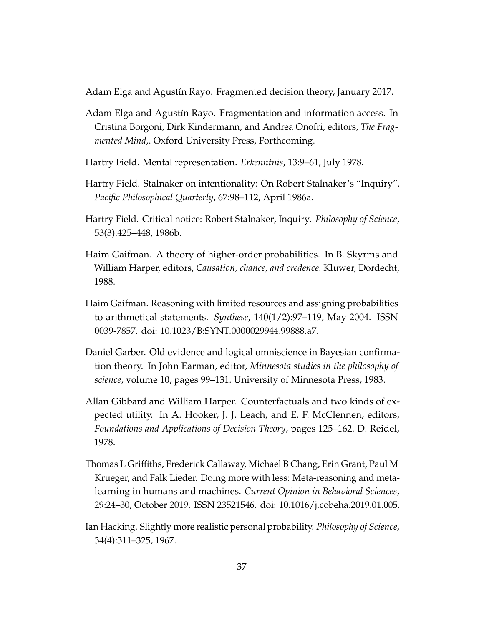Adam Elga and Agustín Rayo. Fragmented decision theory, January 2017.

- Adam Elga and Agustín Rayo. Fragmentation and information access. In Cristina Borgoni, Dirk Kindermann, and Andrea Onofri, editors, *The Fragmented Mind,*. Oxford University Press, Forthcoming.
- Hartry Field. Mental representation. *Erkenntnis*, 13:9–61, July 1978.
- Hartry Field. Stalnaker on intentionality: On Robert Stalnaker's "Inquiry". *Pacific Philosophical Quarterly*, 67:98–112, April 1986a.
- Hartry Field. Critical notice: Robert Stalnaker, Inquiry. *Philosophy of Science*, 53(3):425–448, 1986b.
- Haim Gaifman. A theory of higher-order probabilities. In B. Skyrms and William Harper, editors, *Causation, chance, and credence*. Kluwer, Dordecht, 1988.
- Haim Gaifman. Reasoning with limited resources and assigning probabilities to arithmetical statements. *Synthese*, 140(1/2):97–119, May 2004. ISSN 0039-7857. doi: 10.1023/B:SYNT.0000029944.99888.a7.
- Daniel Garber. Old evidence and logical omniscience in Bayesian confirmation theory. In John Earman, editor, *Minnesota studies in the philosophy of science*, volume 10, pages 99–131. University of Minnesota Press, 1983.
- Allan Gibbard and William Harper. Counterfactuals and two kinds of expected utility. In A. Hooker, J. J. Leach, and E. F. McClennen, editors, *Foundations and Applications of Decision Theory*, pages 125–162. D. Reidel, 1978.
- Thomas L Griffiths, Frederick Callaway, Michael B Chang, Erin Grant, Paul M Krueger, and Falk Lieder. Doing more with less: Meta-reasoning and metalearning in humans and machines. *Current Opinion in Behavioral Sciences*, 29:24–30, October 2019. ISSN 23521546. doi: 10.1016/j.cobeha.2019.01.005.
- Ian Hacking. Slightly more realistic personal probability. *Philosophy of Science*, 34(4):311–325, 1967.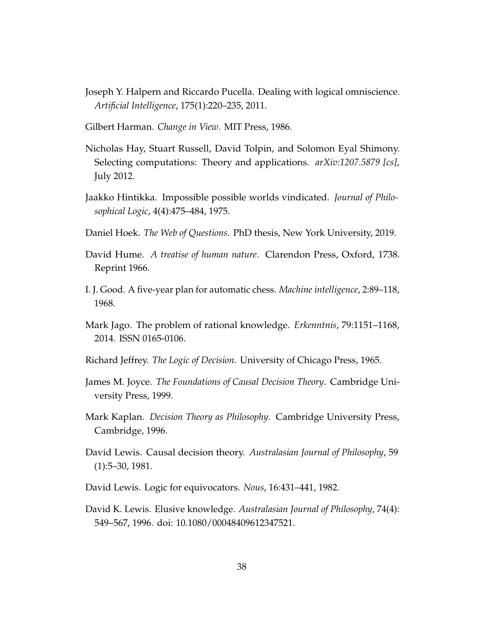- Joseph Y. Halpern and Riccardo Pucella. Dealing with logical omniscience. *Artificial Intelligence*, 175(1):220–235, 2011.
- Gilbert Harman. *Change in View*. MIT Press, 1986.
- Nicholas Hay, Stuart Russell, David Tolpin, and Solomon Eyal Shimony. Selecting computations: Theory and applications. *arXiv:1207.5879 [cs]*, July 2012.
- Jaakko Hintikka. Impossible possible worlds vindicated. *Journal of Philosophical Logic*, 4(4):475–484, 1975.
- Daniel Hoek. *The Web of Questions*. PhD thesis, New York University, 2019.
- David Hume. *A treatise of human nature*. Clarendon Press, Oxford, 1738. Reprint 1966.
- I. J. Good. A five-year plan for automatic chess. *Machine intelligence*, 2:89–118, 1968.
- Mark Jago. The problem of rational knowledge. *Erkenntnis*, 79:1151–1168, 2014. ISSN 0165-0106.
- Richard Jeffrey. *The Logic of Decision*. University of Chicago Press, 1965.
- James M. Joyce. *The Foundations of Causal Decision Theory*. Cambridge University Press, 1999.
- Mark Kaplan. *Decision Theory as Philosophy*. Cambridge University Press, Cambridge, 1996.
- David Lewis. Causal decision theory. *Australasian Journal of Philosophy*, 59 (1):5–30, 1981.
- David Lewis. Logic for equivocators. *Nous*, 16:431–441, 1982.
- David K. Lewis. Elusive knowledge. *Australasian Journal of Philosophy*, 74(4): 549–567, 1996. doi: 10.1080/00048409612347521.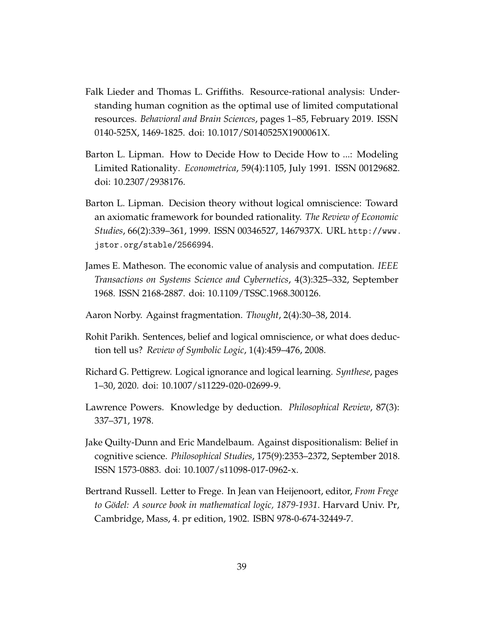- Falk Lieder and Thomas L. Griffiths. Resource-rational analysis: Understanding human cognition as the optimal use of limited computational resources. *Behavioral and Brain Sciences*, pages 1–85, February 2019. ISSN 0140-525X, 1469-1825. doi: 10.1017/S0140525X1900061X.
- Barton L. Lipman. How to Decide How to Decide How to ...: Modeling Limited Rationality. *Econometrica*, 59(4):1105, July 1991. ISSN 00129682. doi: 10.2307/2938176.
- Barton L. Lipman. Decision theory without logical omniscience: Toward an axiomatic framework for bounded rationality. *The Review of Economic Studies*, 66(2):339–361, 1999. ISSN 00346527, 1467937X. URL http://www. jstor.org/stable/2566994.
- James E. Matheson. The economic value of analysis and computation. *IEEE Transactions on Systems Science and Cybernetics*, 4(3):325–332, September 1968. ISSN 2168-2887. doi: 10.1109/TSSC.1968.300126.
- Aaron Norby. Against fragmentation. *Thought*, 2(4):30–38, 2014.
- Rohit Parikh. Sentences, belief and logical omniscience, or what does deduction tell us? *Review of Symbolic Logic*, 1(4):459–476, 2008.
- Richard G. Pettigrew. Logical ignorance and logical learning. *Synthese*, pages 1–30, 2020. doi: 10.1007/s11229-020-02699-9.
- Lawrence Powers. Knowledge by deduction. *Philosophical Review*, 87(3): 337–371, 1978.
- Jake Quilty-Dunn and Eric Mandelbaum. Against dispositionalism: Belief in cognitive science. *Philosophical Studies*, 175(9):2353–2372, September 2018. ISSN 1573-0883. doi: 10.1007/s11098-017-0962-x.
- Bertrand Russell. Letter to Frege. In Jean van Heijenoort, editor, *From Frege to G¨odel: A source book in mathematical logic, 1879-1931*. Harvard Univ. Pr, Cambridge, Mass, 4. pr edition, 1902. ISBN 978-0-674-32449-7.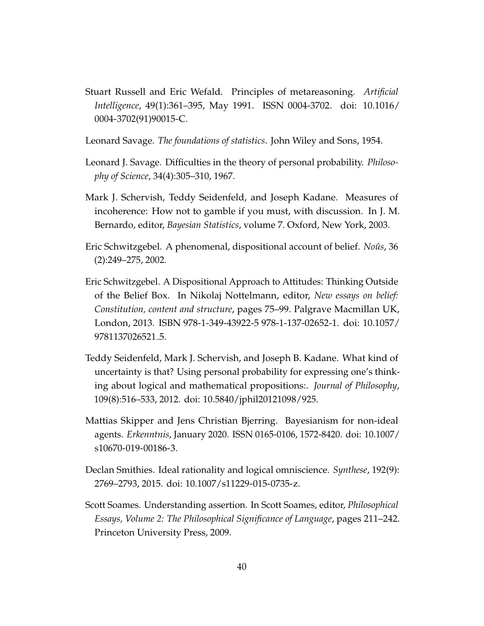- Stuart Russell and Eric Wefald. Principles of metareasoning. *Artificial Intelligence*, 49(1):361–395, May 1991. ISSN 0004-3702. doi: 10.1016/ 0004-3702(91)90015-C.
- Leonard Savage. *The foundations of statistics*. John Wiley and Sons, 1954.
- Leonard J. Savage. Difficulties in the theory of personal probability. *Philosophy of Science*, 34(4):305–310, 1967.
- Mark J. Schervish, Teddy Seidenfeld, and Joseph Kadane. Measures of incoherence: How not to gamble if you must, with discussion. In J. M. Bernardo, editor, *Bayesian Statistics*, volume 7. Oxford, New York, 2003.
- Eric Schwitzgebel. A phenomenal, dispositional account of belief. *Noûs*, 36 (2):249–275, 2002.
- Eric Schwitzgebel. A Dispositional Approach to Attitudes: Thinking Outside of the Belief Box. In Nikolaj Nottelmann, editor, *New essays on belief: Constitution, content and structure*, pages 75–99. Palgrave Macmillan UK, London, 2013. ISBN 978-1-349-43922-5 978-1-137-02652-1. doi: 10.1057/ 9781137026521 5.
- Teddy Seidenfeld, Mark J. Schervish, and Joseph B. Kadane. What kind of uncertainty is that? Using personal probability for expressing one's thinking about logical and mathematical propositions:. *Journal of Philosophy*, 109(8):516–533, 2012. doi: 10.5840/jphil20121098/925.
- Mattias Skipper and Jens Christian Bjerring. Bayesianism for non-ideal agents. *Erkenntnis*, January 2020. ISSN 0165-0106, 1572-8420. doi: 10.1007/ s10670-019-00186-3.
- Declan Smithies. Ideal rationality and logical omniscience. *Synthese*, 192(9): 2769–2793, 2015. doi: 10.1007/s11229-015-0735-z.
- Scott Soames. Understanding assertion. In Scott Soames, editor, *Philosophical Essays, Volume 2: The Philosophical Significance of Language*, pages 211–242. Princeton University Press, 2009.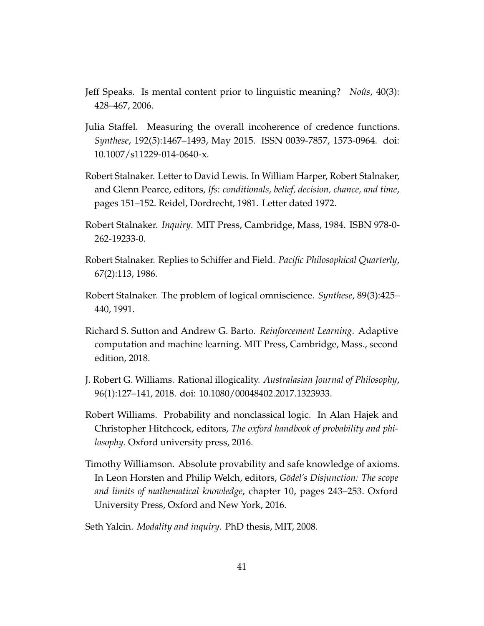- Jeff Speaks. Is mental content prior to linguistic meaning? *Noûs*, 40(3): 428–467, 2006.
- Julia Staffel. Measuring the overall incoherence of credence functions. *Synthese*, 192(5):1467–1493, May 2015. ISSN 0039-7857, 1573-0964. doi: 10.1007/s11229-014-0640-x.
- Robert Stalnaker. Letter to David Lewis. In William Harper, Robert Stalnaker, and Glenn Pearce, editors, *Ifs: conditionals, belief, decision, chance, and time*, pages 151–152. Reidel, Dordrecht, 1981. Letter dated 1972.
- Robert Stalnaker. *Inquiry*. MIT Press, Cambridge, Mass, 1984. ISBN 978-0- 262-19233-0.
- Robert Stalnaker. Replies to Schiffer and Field. *Pacific Philosophical Quarterly*, 67(2):113, 1986.
- Robert Stalnaker. The problem of logical omniscience. *Synthese*, 89(3):425– 440, 1991.
- Richard S. Sutton and Andrew G. Barto. *Reinforcement Learning*. Adaptive computation and machine learning. MIT Press, Cambridge, Mass., second edition, 2018.
- J. Robert G. Williams. Rational illogicality. *Australasian Journal of Philosophy*, 96(1):127–141, 2018. doi: 10.1080/00048402.2017.1323933.
- Robert Williams. Probability and nonclassical logic. In Alan Hajek and Christopher Hitchcock, editors, *The oxford handbook of probability and philosophy*. Oxford university press, 2016.
- Timothy Williamson. Absolute provability and safe knowledge of axioms. In Leon Horsten and Philip Welch, editors, *Gödel's Disjunction: The scope and limits of mathematical knowledge*, chapter 10, pages 243–253. Oxford University Press, Oxford and New York, 2016.
- Seth Yalcin. *Modality and inquiry*. PhD thesis, MIT, 2008.